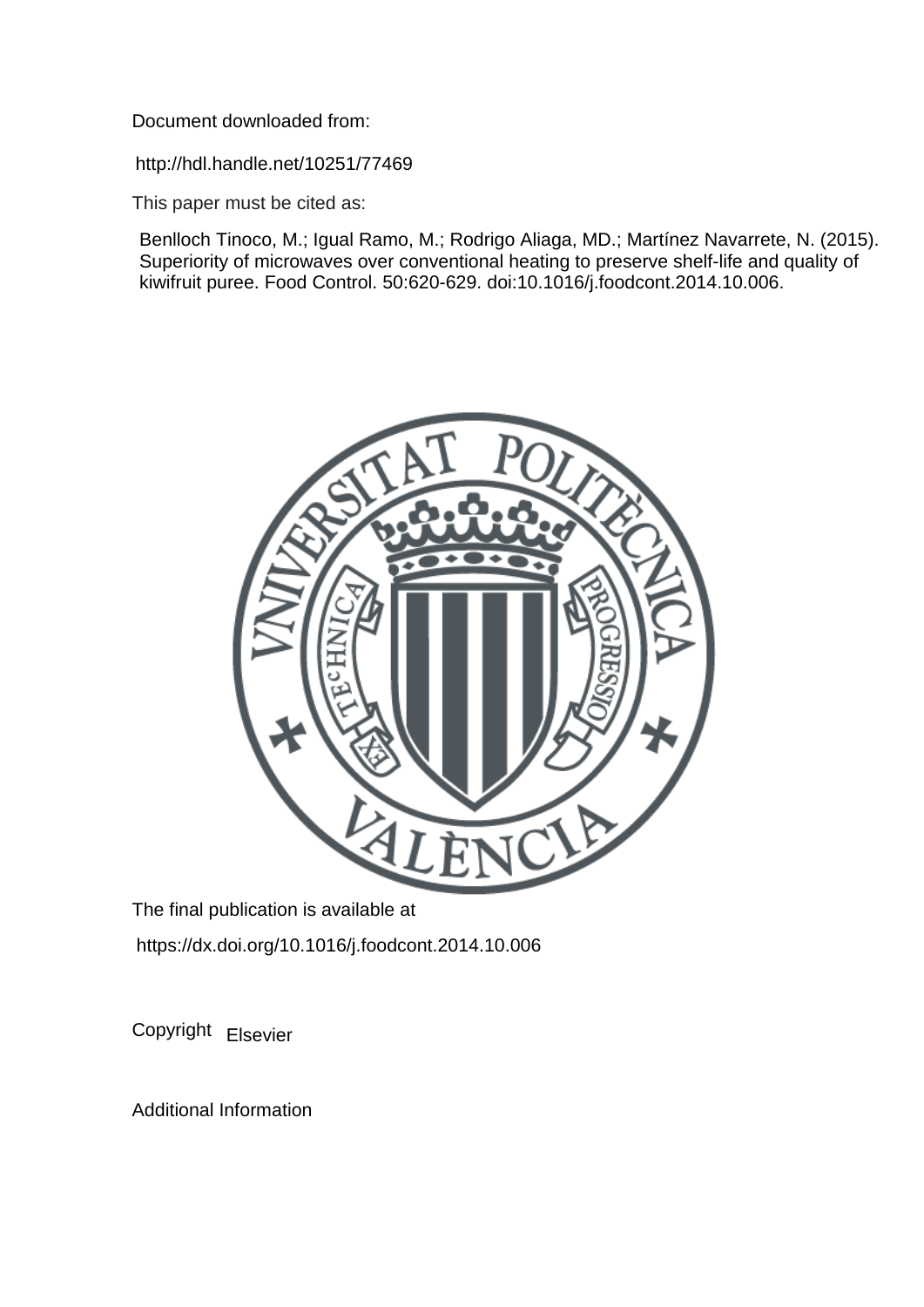Document downloaded from:

http://hdl.handle.net/10251/77469

This paper must be cited as:

Benlloch Tinoco, M.; Igual Ramo, M.; Rodrigo Aliaga, MD.; Martínez Navarrete, N. (2015). Superiority of microwaves over conventional heating to preserve shelf-life and quality of kiwifruit puree. Food Control. 50:620-629. doi:10.1016/j.foodcont.2014.10.006.



The final publication is available at https://dx.doi.org/10.1016/j.foodcont.2014.10.006

Copyright Elsevier

Additional Information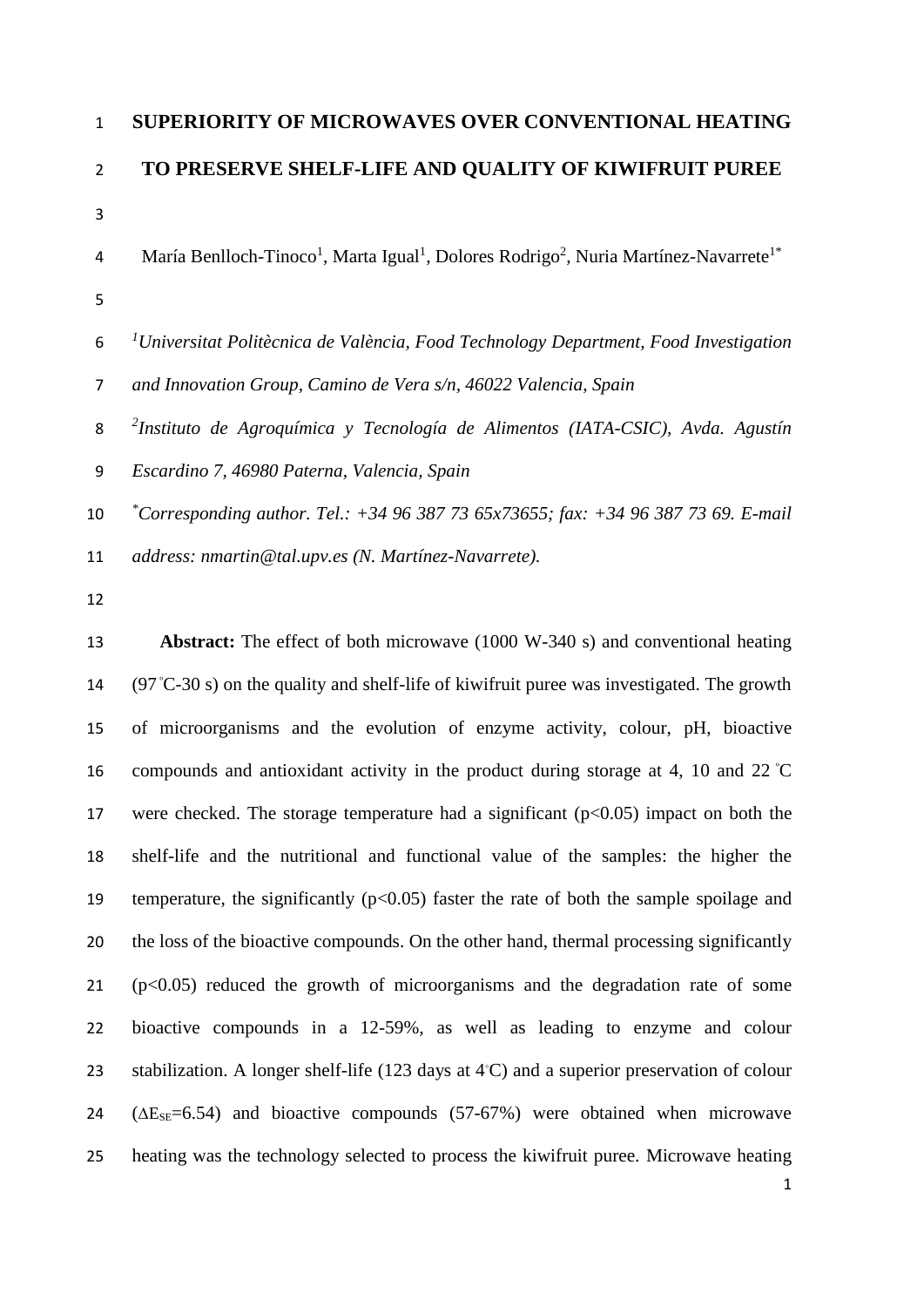# **SUPERIORITY OF MICROWAVES OVER CONVENTIONAL HEATING TO PRESERVE SHELF-LIFE AND QUALITY OF KIWIFRUIT PUREE**

- 4 María Benlloch-Tinoco<sup>1</sup>, Marta Igual<sup>1</sup>, Dolores Rodrigo<sup>2</sup>, Nuria Martínez-Navarrete<sup>1\*</sup>
- *1 Universitat Politècnica de València, Food Technology Department, Food Investigation*
- *and Innovation Group, Camino de Vera s/n, 46022 Valencia, Spain*
- *2 Instituto de Agroquímica y Tecnología de Alimentos (IATA-CSIC), Avda. Agustín*
- *Escardino 7, 46980 Paterna, Valencia, Spain*
- *\* Corresponding author. Tel.: +34 96 387 73 65x73655; fax: +34 96 387 73 69. E-mail*
- *address: nmartin@tal.upv.es (N. Martínez-Navarrete).*
- 

 **Abstract:** The effect of both microwave (1000 W-340 s) and conventional heating  $(97 \degree C - 30 \degree s)$  on the quality and shelf-life of kiwifruit puree was investigated. The growth of microorganisms and the evolution of enzyme activity, colour, pH, bioactive 16 compounds and antioxidant activity in the product during storage at 4, 10 and 22  $\degree$ C 17 were checked. The storage temperature had a significant  $(p<0.05)$  impact on both the shelf-life and the nutritional and functional value of the samples: the higher the 19 temperature, the significantly  $(p<0.05)$  faster the rate of both the sample spoilage and the loss of the bioactive compounds. On the other hand, thermal processing significantly (p $<0.05$ ) reduced the growth of microorganisms and the degradation rate of some bioactive compounds in a 12-59%, as well as leading to enzyme and colour 23 stabilization. A longer shelf-life (123 days at  $4^{\circ}$ C) and a superior preservation of colour  $24 \left( \Delta E_{\text{SE}} = 6.54 \right)$  and bioactive compounds (57-67%) were obtained when microwave heating was the technology selected to process the kiwifruit puree. Microwave heating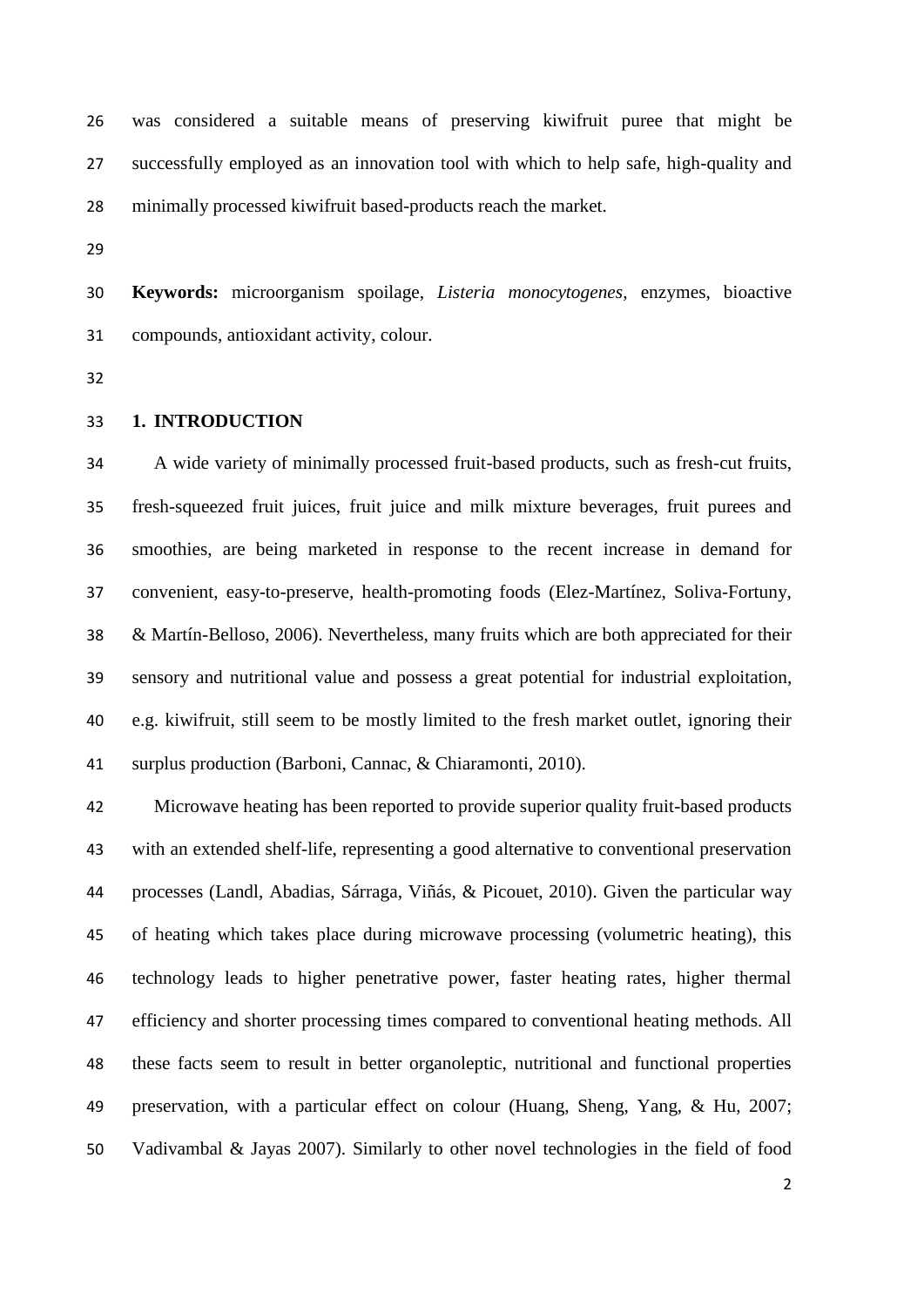was considered a suitable means of preserving kiwifruit puree that might be successfully employed as an innovation tool with which to help safe, high-quality and minimally processed kiwifruit based-products reach the market.

 **Keywords:** microorganism spoilage, *Listeria monocytogenes*, enzymes, bioactive compounds, antioxidant activity, colour.

#### **1. INTRODUCTION**

 A wide variety of minimally processed fruit-based products, such as fresh-cut fruits, fresh-squeezed fruit juices, fruit juice and milk mixture beverages, fruit purees and smoothies, are being marketed in response to the recent increase in demand for convenient, easy-to-preserve, health-promoting foods (Elez-Martínez, Soliva-Fortuny, & Martín-Belloso, 2006). Nevertheless, many fruits which are both appreciated for their sensory and nutritional value and possess a great potential for industrial exploitation, e.g. kiwifruit, still seem to be mostly limited to the fresh market outlet, ignoring their surplus production (Barboni, Cannac, & Chiaramonti, 2010).

 Microwave heating has been reported to provide superior quality fruit-based products with an extended shelf-life, representing a good alternative to conventional preservation processes (Landl, Abadias, Sárraga, Viñás, & Picouet, 2010). Given the particular way of heating which takes place during microwave processing (volumetric heating), this technology leads to higher penetrative power, faster heating rates, higher thermal efficiency and shorter processing times compared to conventional heating methods. All these facts seem to result in better organoleptic, nutritional and functional properties preservation, with a particular effect on colour (Huang, Sheng, Yang, & Hu, 2007; Vadivambal & Jayas 2007). Similarly to other novel technologies in the field of food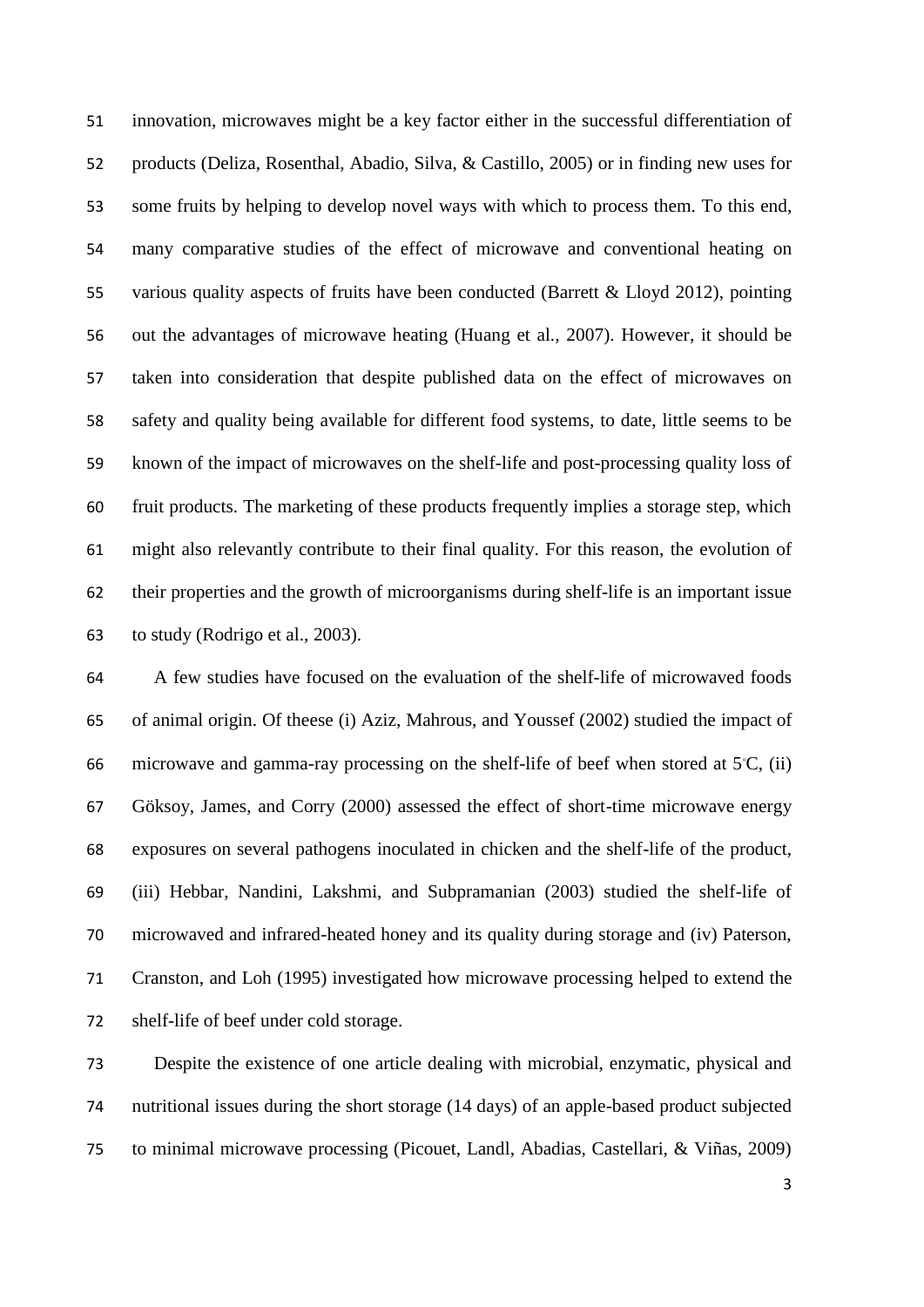innovation, microwaves might be a key factor either in the successful differentiation of products (Deliza, Rosenthal, Abadio, Silva, & Castillo, 2005) or in finding new uses for some fruits by helping to develop novel ways with which to process them. To this end, many comparative studies of the effect of microwave and conventional heating on various quality aspects of fruits have been conducted (Barrett & Lloyd 2012), pointing out the advantages of microwave heating (Huang et al., 2007). However, it should be taken into consideration that despite published data on the effect of microwaves on safety and quality being available for different food systems, to date, little seems to be known of the impact of microwaves on the shelf-life and post-processing quality loss of fruit products. The marketing of these products frequently implies a storage step, which might also relevantly contribute to their final quality. For this reason, the evolution of their properties and the growth of microorganisms during shelf-life is an important issue to study (Rodrigo et al., 2003).

 A few studies have focused on the evaluation of the shelf-life of microwaved foods of animal origin. Of theese (i) Aziz, Mahrous, and Youssef (2002) studied the impact of 66 microwave and gamma-ray processing on the shelf-life of beef when stored at  $5^\circ$ C, (ii) Göksoy, James, and Corry (2000) assessed the effect of short-time microwave energy exposures on several pathogens inoculated in chicken and the shelf-life of the product, (iii) Hebbar, Nandini, Lakshmi, and Subpramanian (2003) studied the shelf-life of microwaved and infrared-heated honey and its quality during storage and (iv) Paterson, Cranston, and Loh (1995) investigated how microwave processing helped to extend the shelf-life of beef under cold storage.

 Despite the existence of one article dealing with microbial, enzymatic, physical and nutritional issues during the short storage (14 days) of an apple-based product subjected to minimal microwave processing (Picouet, Landl, Abadias, Castellari, & Viñas, 2009)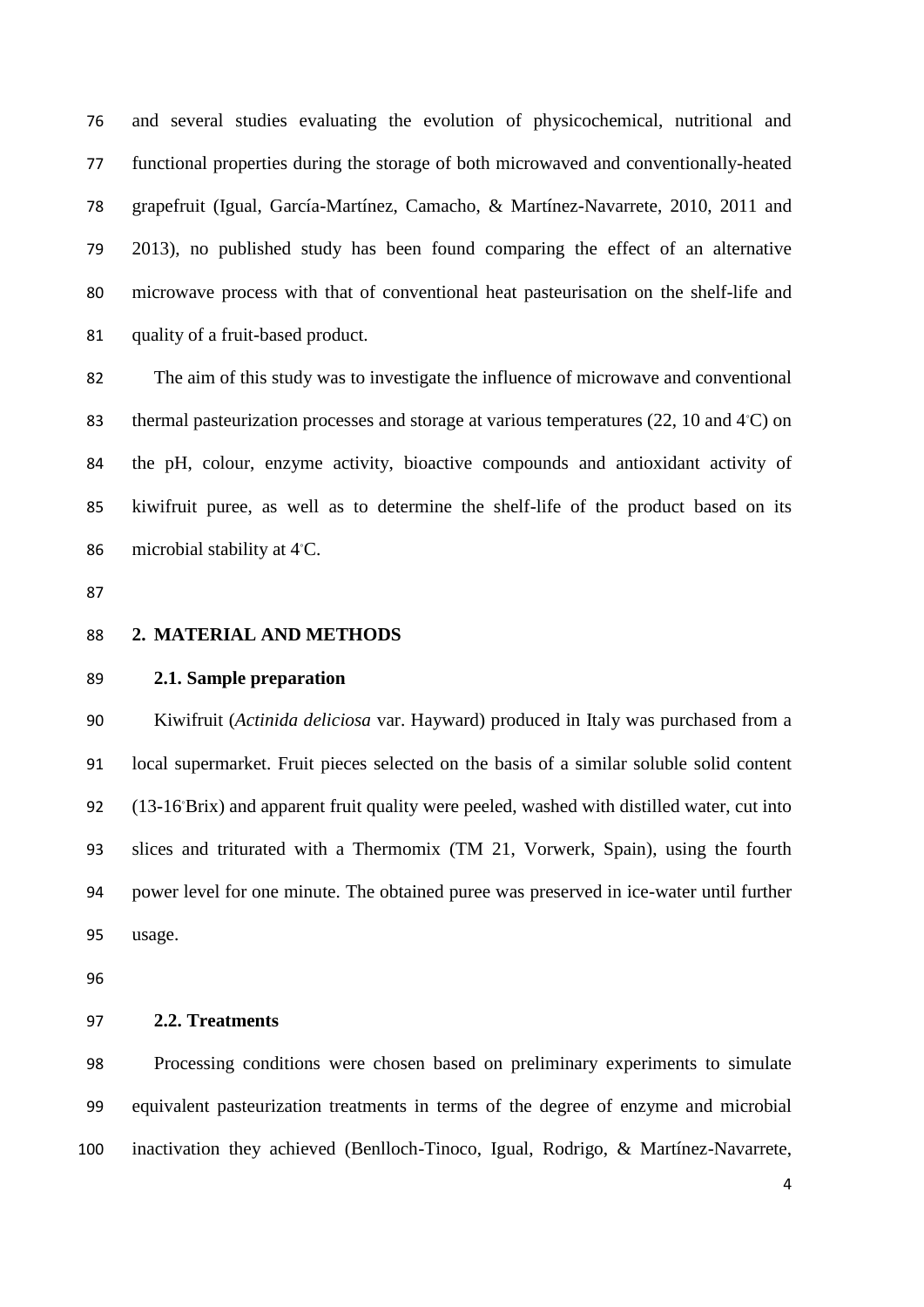and several studies evaluating the evolution of physicochemical, nutritional and functional properties during the storage of both microwaved and conventionally-heated grapefruit (Igual, García-Martínez, Camacho, & Martínez-Navarrete, 2010, 2011 and 2013), no published study has been found comparing the effect of an alternative microwave process with that of conventional heat pasteurisation on the shelf-life and quality of a fruit-based product.

 The aim of this study was to investigate the influence of microwave and conventional 83 thermal pasteurization processes and storage at various temperatures (22, 10 and  $4^{\circ}$ C) on the pH, colour, enzyme activity, bioactive compounds and antioxidant activity of kiwifruit puree, as well as to determine the shelf-life of the product based on its 86 microbial stability at  $4^{\circ}$ C.

- 
- **2. MATERIAL AND METHODS**

### **2.1. Sample preparation**

 Kiwifruit (*Actinida deliciosa* var. Hayward) produced in Italy was purchased from a local supermarket. Fruit pieces selected on the basis of a similar soluble solid content 92 (13-16°Brix) and apparent fruit quality were peeled, washed with distilled water, cut into slices and triturated with a Thermomix (TM 21, Vorwerk, Spain), using the fourth power level for one minute. The obtained puree was preserved in ice-water until further usage.

**2.2. Treatments** 

 Processing conditions were chosen based on preliminary experiments to simulate equivalent pasteurization treatments in terms of the degree of enzyme and microbial inactivation they achieved (Benlloch-Tinoco, Igual, Rodrigo, & Martínez-Navarrete,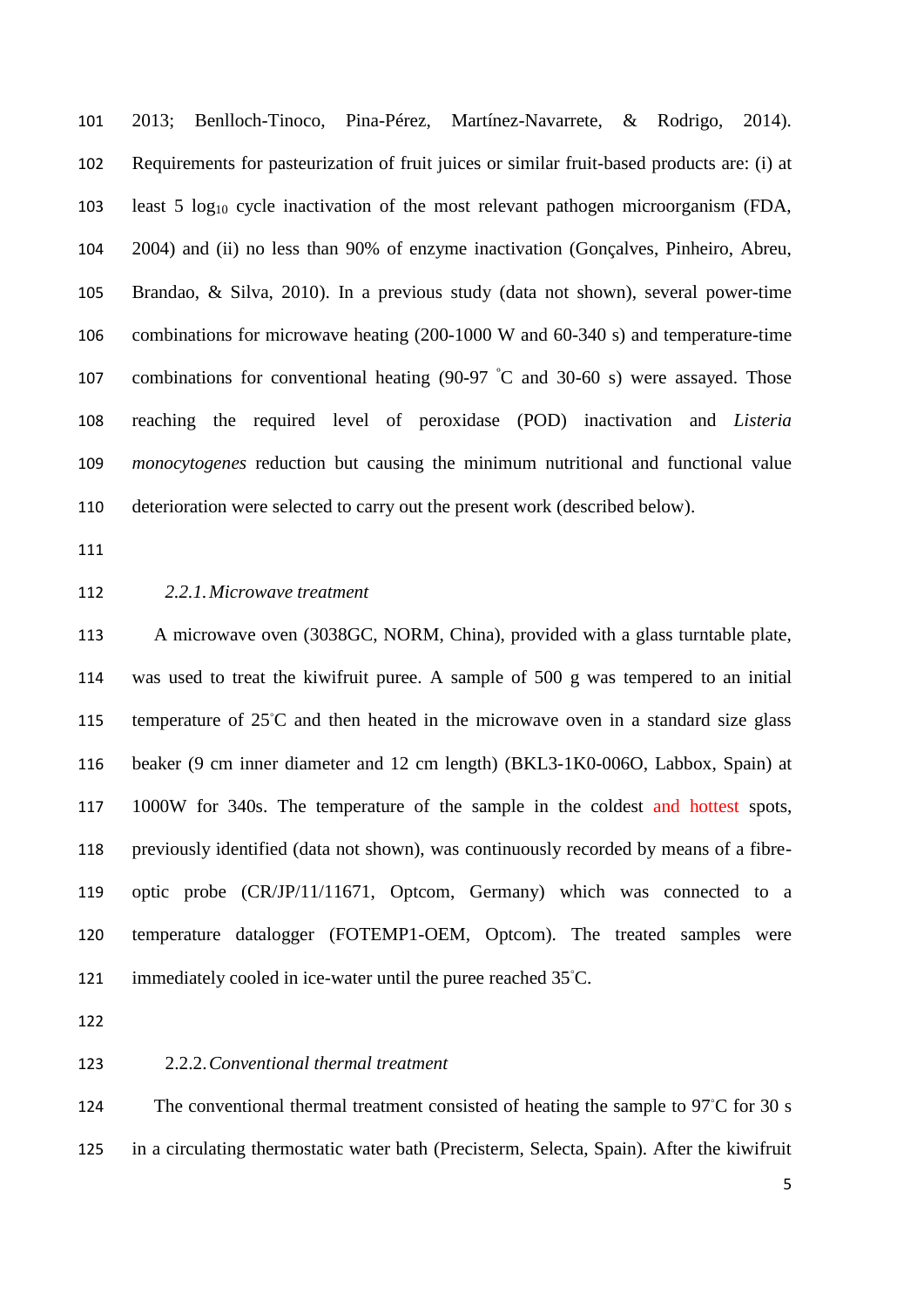2013; Benlloch-Tinoco, Pina-Pérez, Martínez-Navarrete, & Rodrigo, 2014). Requirements for pasteurization of fruit juices or similar fruit-based products are: (i) at least 5 log<sup>10</sup> cycle inactivation of the most relevant pathogen microorganism (FDA, 2004) and (ii) no less than 90% of enzyme inactivation (Gonçalves, Pinheiro, Abreu, Brandao, & Silva, 2010). In a previous study (data not shown), several power-time combinations for microwave heating (200-1000 W and 60-340 s) and temperature-time 107 combinations for conventional heating  $(90-97 \text{ °C}$  and 30-60 s) were assayed. Those reaching the required level of peroxidase (POD) inactivation and *Listeria monocytogenes* reduction but causing the minimum nutritional and functional value deterioration were selected to carry out the present work (described below).

#### *2.2.1.Microwave treatment*

 A microwave oven (3038GC, NORM, China), provided with a glass turntable plate, was used to treat the kiwifruit puree. A sample of 500 g was tempered to an initial 115 temperature of 25℃ and then heated in the microwave oven in a standard size glass beaker (9 cm inner diameter and 12 cm length) (BKL3-1K0-006O, Labbox, Spain) at 1000W for 340s. The temperature of the sample in the coldest and hottest spots, previously identified (data not shown), was continuously recorded by means of a fibre- optic probe (CR/JP/11/11671, Optcom, Germany) which was connected to a temperature datalogger (FOTEMP1-OEM, Optcom). The treated samples were 121 immediately cooled in ice-water until the puree reached  $35^{\circ}$ C.

# 2.2.2.*Conventional thermal treatment*

124 The conventional thermal treatment consisted of heating the sample to 97°C for 30 s in a circulating thermostatic water bath (Precisterm, Selecta, Spain). After the kiwifruit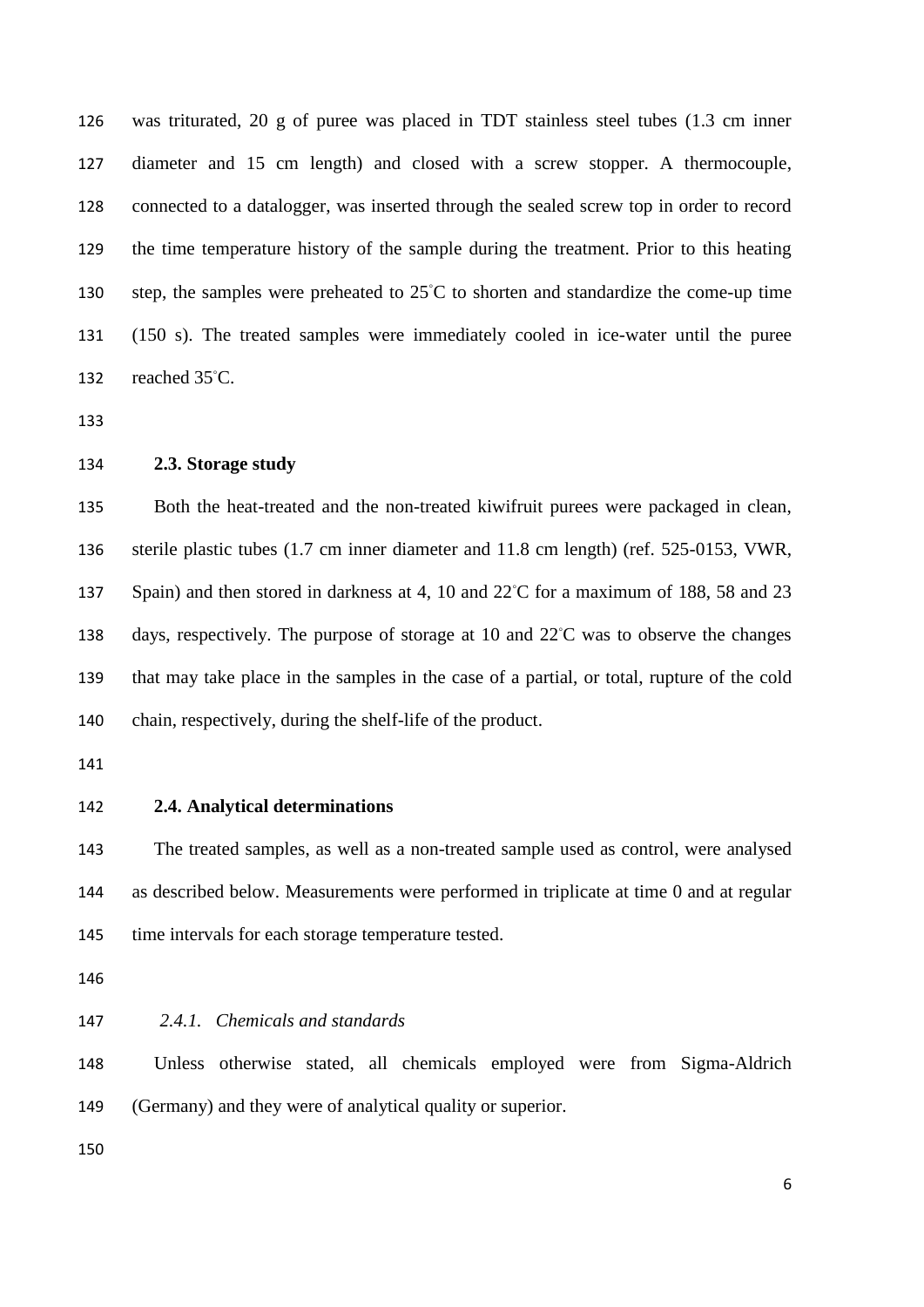was triturated, 20 g of puree was placed in TDT stainless steel tubes (1.3 cm inner diameter and 15 cm length) and closed with a screw stopper. A thermocouple, connected to a datalogger, was inserted through the sealed screw top in order to record the time temperature history of the sample during the treatment. Prior to this heating 130 step, the samples were preheated to 25℃ to shorten and standardize the come-up time (150 s). The treated samples were immediately cooled in ice-water until the puree 132 reached  $35^{\circ}$ C.

# **2.3. Storage study**

 Both the heat-treated and the non-treated kiwifruit purees were packaged in clean, sterile plastic tubes (1.7 cm inner diameter and 11.8 cm length) (ref. 525-0153, VWR, 137 Spain) and then stored in darkness at 4, 10 and 22℃ for a maximum of 188, 58 and 23 138 days, respectively. The purpose of storage at 10 and 22℃ was to observe the changes that may take place in the samples in the case of a partial, or total, rupture of the cold chain, respectively, during the shelf-life of the product.

**2.4. Analytical determinations**

 The treated samples, as well as a non-treated sample used as control, were analysed as described below. Measurements were performed in triplicate at time 0 and at regular 145 time intervals for each storage temperature tested.

*2.4.1. Chemicals and standards*

 Unless otherwise stated, all chemicals employed were from Sigma-Aldrich (Germany) and they were of analytical quality or superior.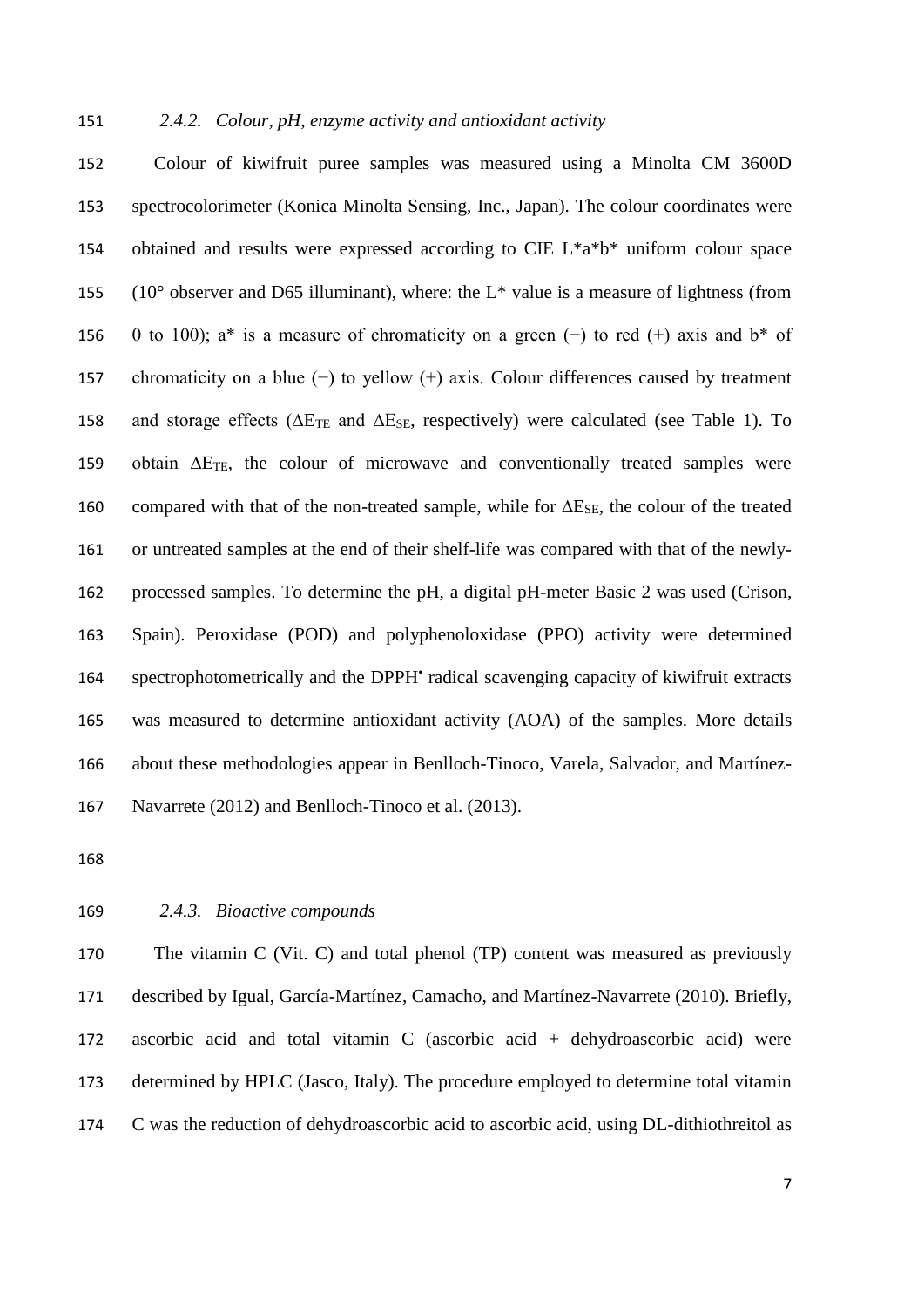#### *2.4.2. Colour, pH, enzyme activity and antioxidant activity*

 Colour of kiwifruit puree samples was measured using a Minolta CM 3600D spectrocolorimeter (Konica Minolta Sensing, Inc., Japan). The colour coordinates were obtained and results were expressed according to CIE L\*a\*b\* uniform colour space 155 ( $10^{\circ}$  observer and D65 illuminant), where: the L<sup>\*</sup> value is a measure of lightness (from 0 to 100); a\* is a measure of chromaticity on a green (−) to red (+) axis and b\* of chromaticity on a blue (−) to yellow (+) axis. Colour differences caused by treatment 158 and storage effects ( $\Delta E_{\text{TE}}$  and  $\Delta E_{\text{SE}}$ , respectively) were calculated (see Table 1). To obtain ∆ETE, the colour of microwave and conventionally treated samples were 160 compared with that of the non-treated sample, while for  $\Delta E_{SE}$ , the colour of the treated or untreated samples at the end of their shelf-life was compared with that of the newly- processed samples. To determine the pH, a digital pH-meter Basic 2 was used (Crison, Spain). Peroxidase (POD) and polyphenoloxidase (PPO) activity were determined 164 spectrophotometrically and the DPPH' radical scavenging capacity of kiwifruit extracts was measured to determine antioxidant activity (AOA) of the samples. More details about these methodologies appear in Benlloch-Tinoco, Varela, Salvador, and Martínez-Navarrete (2012) and Benlloch-Tinoco et al. (2013).

# *2.4.3. Bioactive compounds*

 The vitamin C (Vit. C) and total phenol (TP) content was measured as previously described by Igual, García-Martínez, Camacho, and Martínez-Navarrete (2010). Briefly, ascorbic acid and total vitamin C (ascorbic acid + dehydroascorbic acid) were determined by HPLC (Jasco, Italy). The procedure employed to determine total vitamin C was the reduction of dehydroascorbic acid to ascorbic acid, using DL-dithiothreitol as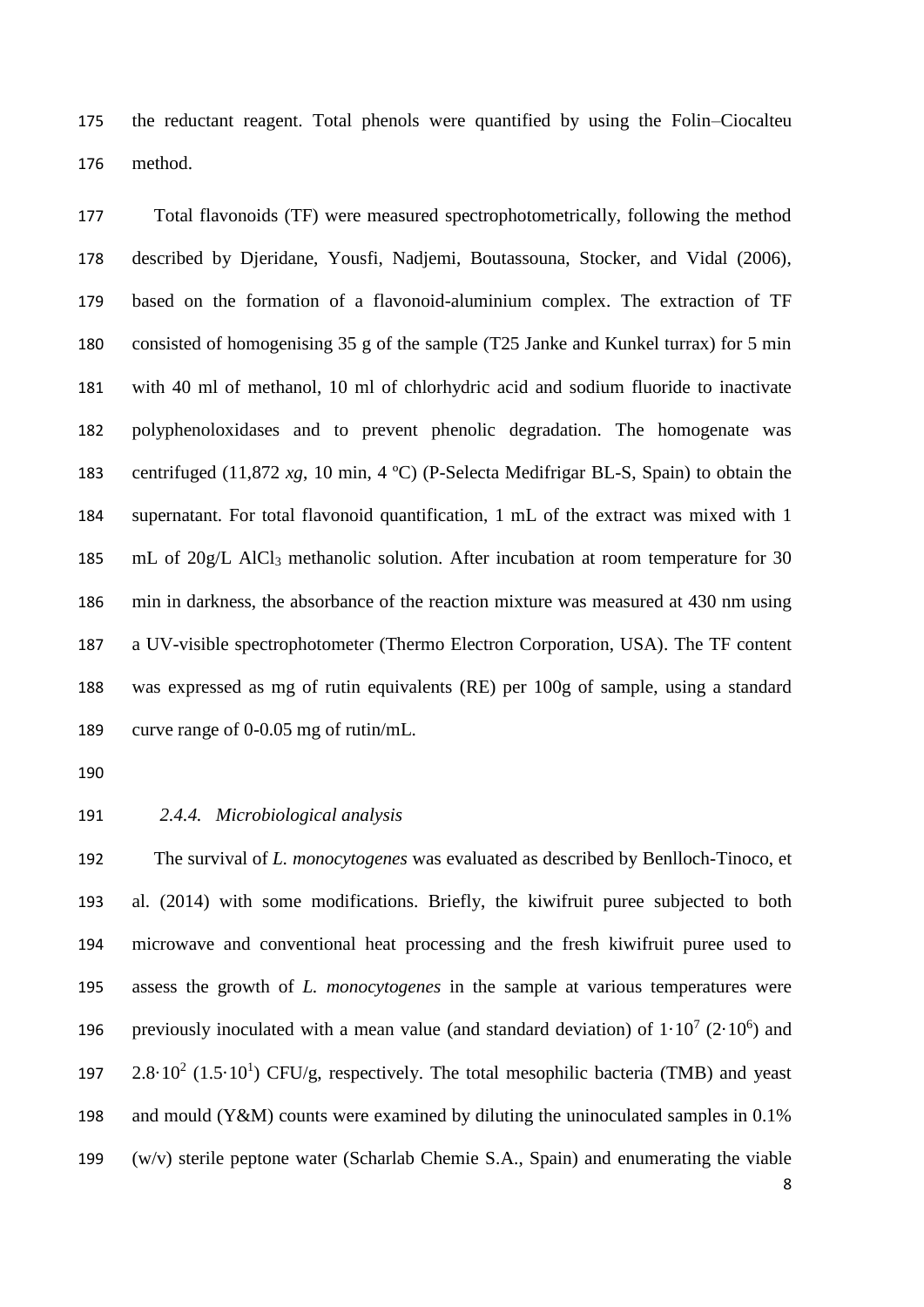the reductant reagent. Total phenols were quantified by using the Folin–Ciocalteu method.

 Total flavonoids (TF) were measured spectrophotometrically, following the method described by Djeridane, Yousfi, Nadjemi, Boutassouna, Stocker, and Vidal (2006), based on the formation of a flavonoid-aluminium complex. The extraction of TF consisted of homogenising 35 g of the sample (T25 Janke and Kunkel turrax) for 5 min with 40 ml of methanol, 10 ml of chlorhydric acid and sodium fluoride to inactivate polyphenoloxidases and to prevent phenolic degradation. The homogenate was centrifuged (11,872 *xg*, 10 min, 4 ºC) (P-Selecta Medifrigar BL-S, Spain) to obtain the supernatant. For total flavonoid quantification, 1 mL of the extract was mixed with 1 185 mL of 20g/L AlCl<sub>3</sub> methanolic solution. After incubation at room temperature for 30 min in darkness, the absorbance of the reaction mixture was measured at 430 nm using a UV-visible spectrophotometer (Thermo Electron Corporation, USA). The TF content was expressed as mg of rutin equivalents (RE) per 100g of sample, using a standard curve range of 0-0.05 mg of rutin/mL.

#### *2.4.4. Microbiological analysis*

 The survival of *L. monocytogenes* was evaluated as described by Benlloch-Tinoco, et al. (2014) with some modifications. Briefly, the kiwifruit puree subjected to both microwave and conventional heat processing and the fresh kiwifruit puree used to assess the growth of *L. monocytogenes* in the sample at various temperatures were 196 previously inoculated with a mean value (and standard deviation) of  $1 \cdot 10^7$  (2 $\cdot 10^6$ ) and 197 2.8 $\cdot$  10<sup>2</sup> (1.5 $\cdot$ 10<sup>1</sup>) CFU/g, respectively. The total mesophilic bacteria (TMB) and yeast and mould (Y&M) counts were examined by diluting the uninoculated samples in 0.1% (w/v) sterile peptone water (Scharlab Chemie S.A., Spain) and enumerating the viable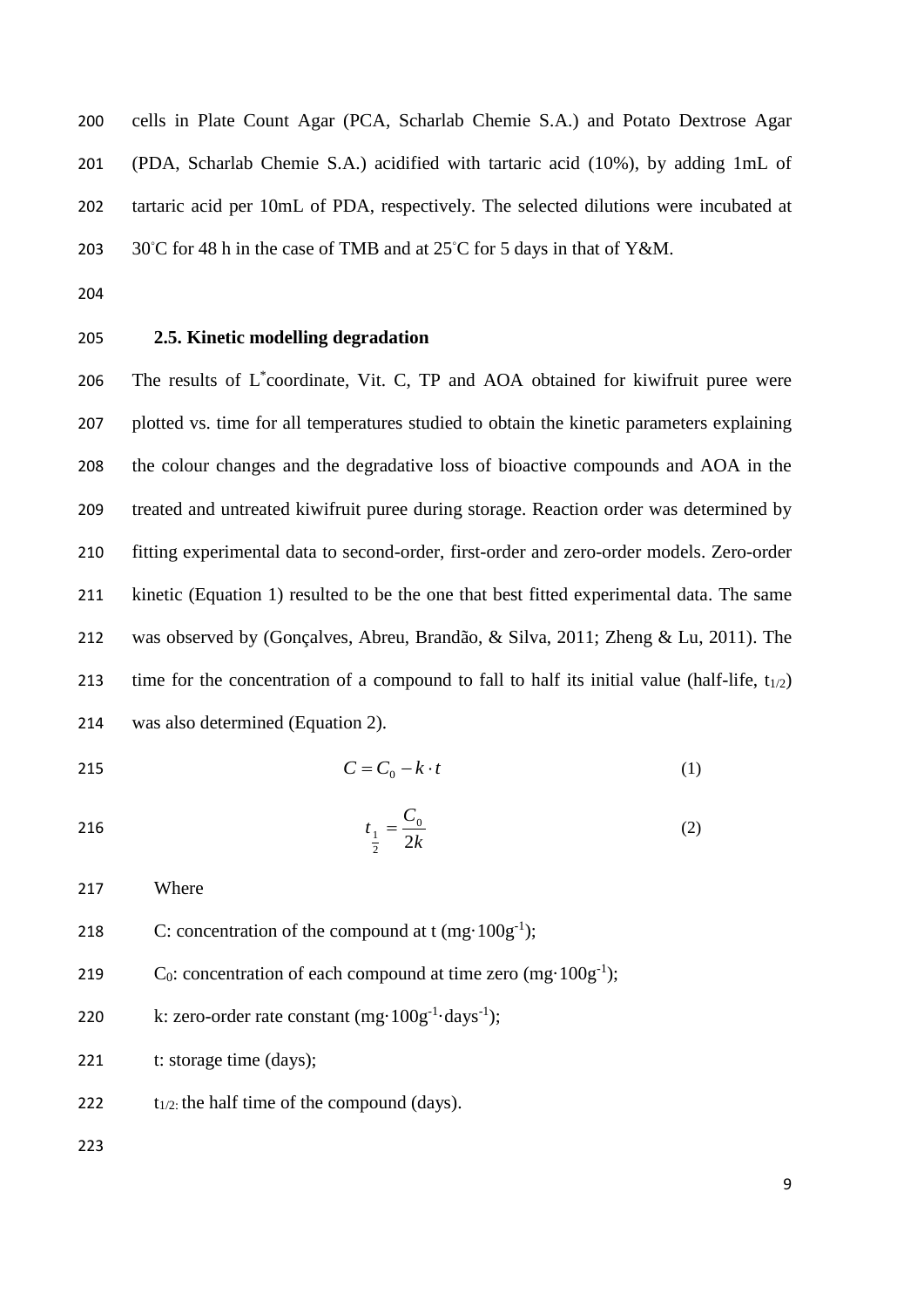cells in Plate Count Agar (PCA, Scharlab Chemie S.A.) and Potato Dextrose Agar (PDA, Scharlab Chemie S.A.) acidified with tartaric acid (10%), by adding 1mL of tartaric acid per 10mL of PDA, respectively. The selected dilutions were incubated at  $30^{\circ}$ C for 48 h in the case of TMB and at 25 $^{\circ}$ C for 5 days in that of Y&M.

- 
- 

# **2.5. Kinetic modelling degradation**

206 The results of  $L^*$ coordinate, Vit. C, TP and AOA obtained for kiwifruit puree were plotted vs. time for all temperatures studied to obtain the kinetic parameters explaining the colour changes and the degradative loss of bioactive compounds and AOA in the treated and untreated kiwifruit puree during storage. Reaction order was determined by fitting experimental data to second-order, first-order and zero-order models. Zero-order kinetic (Equation 1) resulted to be the one that best fitted experimental data. The same was observed by (Gonçalves, Abreu, Brandão, & Silva, 2011; Zheng & Lu, 2011). The 213 time for the concentration of a compound to fall to half its initial value (half-life,  $t_{1/2}$ ) was also determined (Equation 2).

$$
C = C_0 - k \cdot t \tag{1}
$$

216 
$$
t_{\frac{1}{2}} = \frac{C_0}{2k}
$$
 (2)

Where

- 218 C: concentration of the compound at  $t$  (mg $\cdot$  100g<sup>-1</sup>);
- 219  $C_0$ : concentration of each compound at time zero (mg·100g<sup>-1</sup>);

220 k: zero-order rate constant 
$$
(mg \cdot 100g^{-1} \cdot days^{-1})
$$
;

221 t: storage time (days);

222  $t_{1/2}$ : the half time of the compound (days).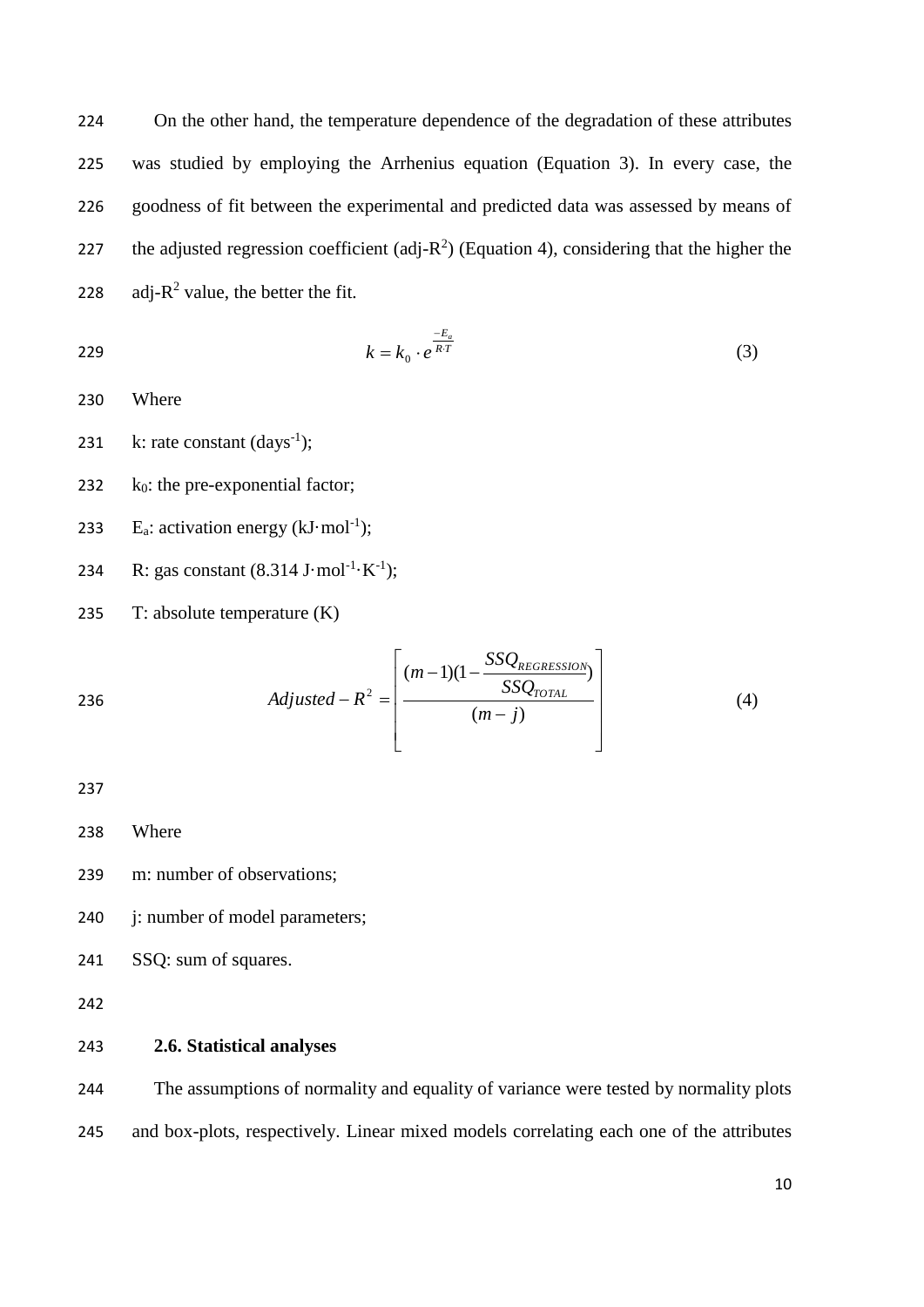224 On the other hand, the temperature dependence of the degradation of these attributes 225 was studied by employing the Arrhenius equation (Equation 3). In every case, the 226 goodness of fit between the experimental and predicted data was assessed by means of 227 the adjusted regression coefficient (adj- $R^2$ ) (Equation 4), considering that the higher the 228 adj- $R^2$  value, the better the fit.

$$
k = k_0 \cdot e^{\frac{-E_a}{RT}} \tag{3}
$$

230 Where

231 k: rate constant  $(days^{-1})$ ;

232  $k_0$ : the pre-exponential factor;

233 E<sub>a</sub>: activation energy ( $kJ \cdot mol^{-1}$ );

- 234 R: gas constant  $(8.314 \text{ J} \cdot \text{mol}^{-1} \cdot \text{K}^{-1})$ ;
- 235 T: absolute temperature (K)

236  
Adjusted - 
$$
R^2
$$
 = 
$$
\left[\frac{(m-1)(1-\frac{SSQ_{REGRESSION}}{SSQ_{TOTAL}})}{(m-j)}\right]
$$
(4)

237

238 Where

239 m: number of observations;

240 j: number of model parameters;

241 SSQ: sum of squares.

242

# 243 **2.6. Statistical analyses**

244 The assumptions of normality and equality of variance were tested by normality plots 245 and box-plots, respectively. Linear mixed models correlating each one of the attributes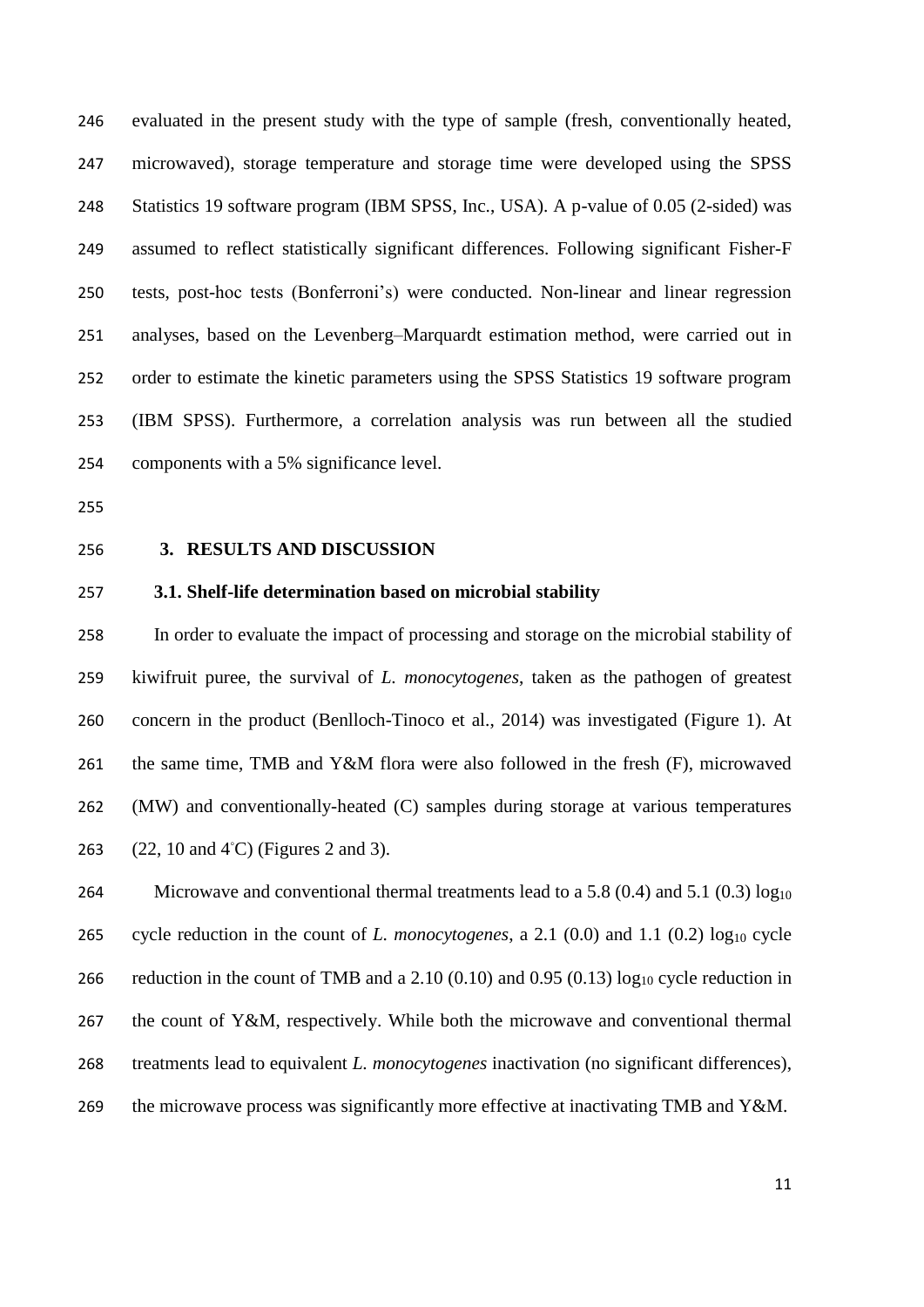evaluated in the present study with the type of sample (fresh, conventionally heated, microwaved), storage temperature and storage time were developed using the SPSS Statistics 19 software program (IBM SPSS, Inc., USA). A p-value of 0.05 (2-sided) was assumed to reflect statistically significant differences. Following significant Fisher-F tests, post-hoc tests (Bonferroni's) were conducted. Non-linear and linear regression analyses, based on the Levenberg–Marquardt estimation method, were carried out in order to estimate the kinetic parameters using the SPSS Statistics 19 software program (IBM SPSS). Furthermore, a correlation analysis was run between all the studied components with a 5% significance level.

- 
- 

# **3. RESULTS AND DISCUSSION**

# **3.1. Shelf-life determination based on microbial stability**

 In order to evaluate the impact of processing and storage on the microbial stability of kiwifruit puree, the survival of *L. monocytogenes*, taken as the pathogen of greatest concern in the product (Benlloch-Tinoco et al., 2014) was investigated (Figure 1). At the same time, TMB and Y&M flora were also followed in the fresh (F), microwaved (MW) and conventionally-heated (C) samples during storage at various temperatures 263 (22, 10 and 4℃) (Figures 2 and 3).

264 Microwave and conventional thermal treatments lead to a 5.8 (0.4) and 5.1 (0.3)  $log_{10}$ 265 cycle reduction in the count of *L. monocytogenes*, a 2.1  $(0.0)$  and 1.1  $(0.2)$  log<sub>10</sub> cycle 266 reduction in the count of TMB and a 2.10 (0.10) and 0.95 (0.13) log<sub>10</sub> cycle reduction in the count of Y&M, respectively. While both the microwave and conventional thermal treatments lead to equivalent *L. monocytogenes* inactivation (no significant differences), 269 the microwave process was significantly more effective at inactivating TMB and Y&M.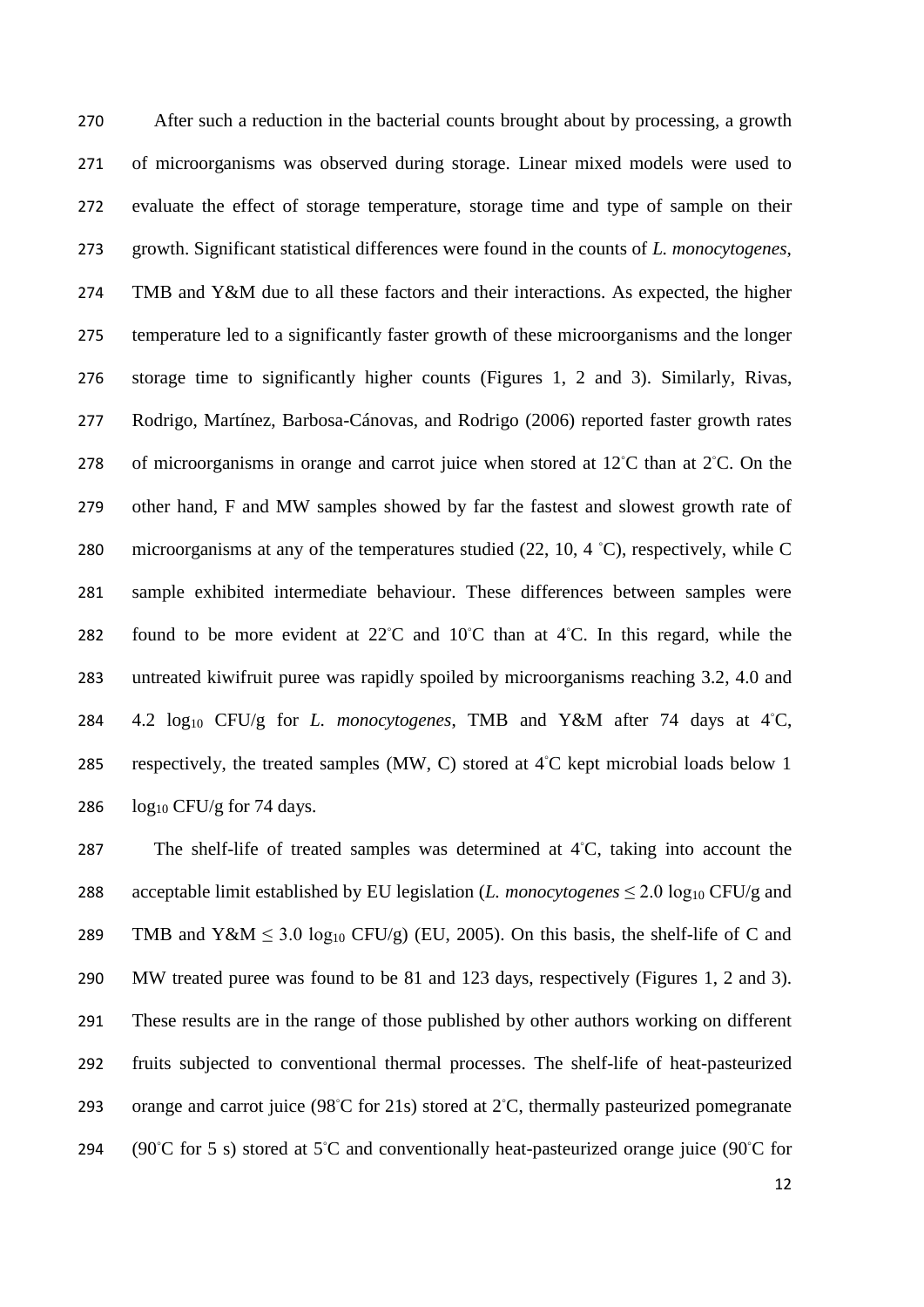After such a reduction in the bacterial counts brought about by processing, a growth of microorganisms was observed during storage. Linear mixed models were used to evaluate the effect of storage temperature, storage time and type of sample on their growth. Significant statistical differences were found in the counts of *L. monocytogenes*, TMB and Y&M due to all these factors and their interactions. As expected, the higher temperature led to a significantly faster growth of these microorganisms and the longer storage time to significantly higher counts (Figures 1, 2 and 3). Similarly, Rivas, Rodrigo, Martínez, Barbosa-Cánovas, and Rodrigo (2006) reported faster growth rates 278 of microorganisms in orange and carrot juice when stored at  $12^{\circ}$ C than at  $2^{\circ}$ C. On the other hand, F and MW samples showed by far the fastest and slowest growth rate of 280 microorganisms at any of the temperatures studied  $(22, 10, 4 \degree C)$ , respectively, while C sample exhibited intermediate behaviour. These differences between samples were 282 found to be more evident at  $22^{\circ}$ C and  $10^{\circ}$ C than at 4 $^{\circ}$ C. In this regard, while the untreated kiwifruit puree was rapidly spoiled by microorganisms reaching 3.2, 4.0 and 284 4.2 log<sub>10</sub> CFU/g for *L. monocytogenes*, TMB and Y&M after 74 days at 4℃, 285 respectively, the treated samples (MW, C) stored at  $4^{\circ}$ C kept microbial loads below 1  $log_{10} CFU/g$  for 74 days.

287 The shelf-life of treated samples was determined at  $4°C$ , taking into account the 288 acceptable limit established by EU legislation (*L. monocytogenes*  $\leq$  2.0 log<sub>10</sub> CFU/g and 289 TMB and  $Y \& M \leq 3.0 \log_{10} CFU/g$  (EU, 2005). On this basis, the shelf-life of C and 290 MW treated puree was found to be 81 and 123 days, respectively (Figures 1, 2 and 3). 291 These results are in the range of those published by other authors working on different 292 fruits subjected to conventional thermal processes. The shelf-life of heat-pasteurized 293 orange and carrot juice ( $98°C$  for 21s) stored at 2℃, thermally pasteurized pomegranate 294 (90℃ for 5 s) stored at 5℃ and conventionally heat-pasteurized orange juice (90℃ for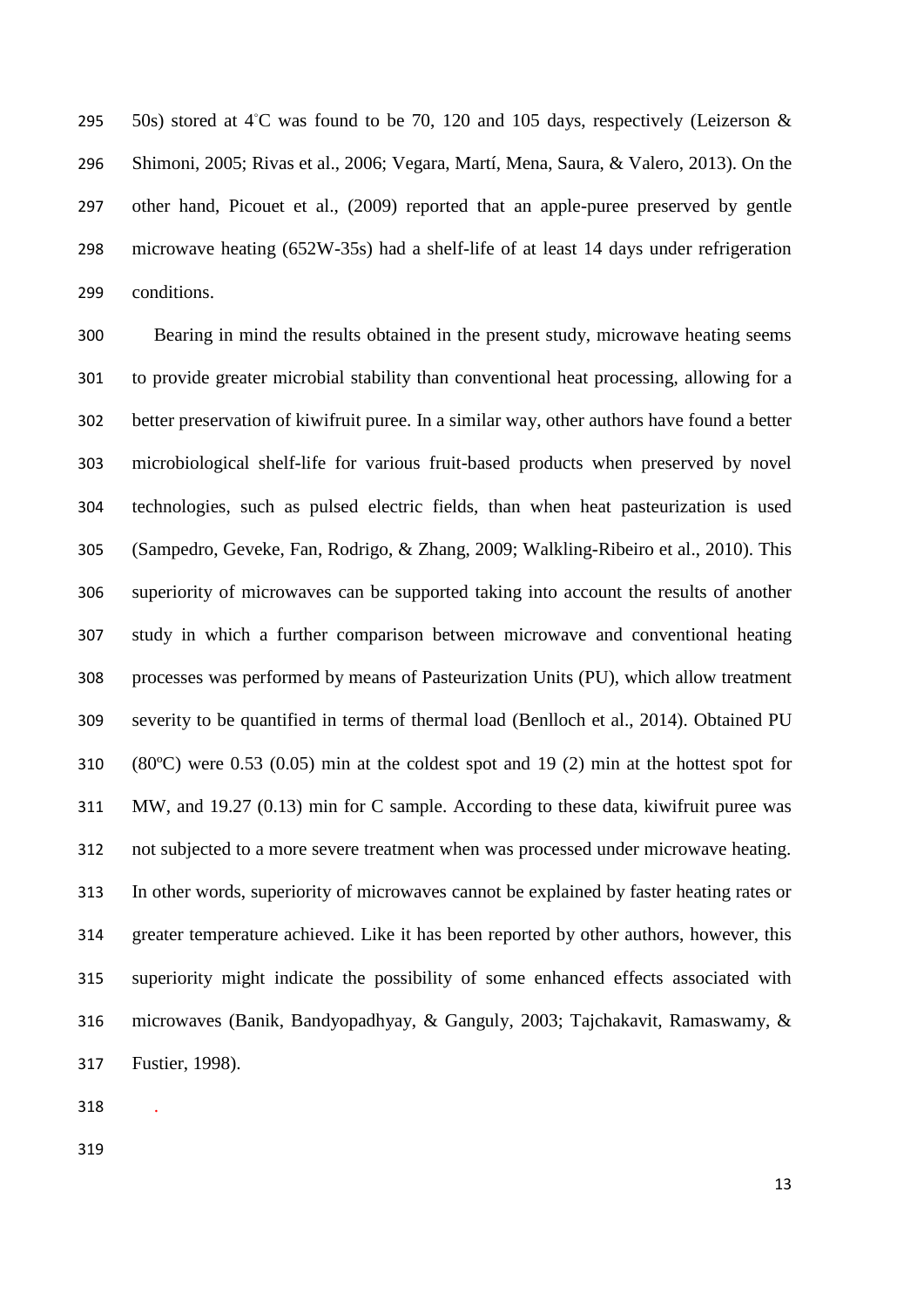295 50s) stored at 4℃ was found to be 70, 120 and 105 days, respectively (Leizerson  $&$  Shimoni, 2005; Rivas et al., 2006; Vegara, Martí, Mena, Saura, & Valero, 2013). On the other hand, Picouet et al., (2009) reported that an apple-puree preserved by gentle microwave heating (652W-35s) had a shelf-life of at least 14 days under refrigeration conditions.

 Bearing in mind the results obtained in the present study, microwave heating seems to provide greater microbial stability than conventional heat processing, allowing for a better preservation of kiwifruit puree. In a similar way, other authors have found a better microbiological shelf-life for various fruit-based products when preserved by novel technologies, such as pulsed electric fields, than when heat pasteurization is used (Sampedro, Geveke, Fan, Rodrigo, & Zhang, 2009; Walkling-Ribeiro et al., 2010). This superiority of microwaves can be supported taking into account the results of another study in which a further comparison between microwave and conventional heating processes was performed by means of Pasteurization Units (PU), which allow treatment severity to be quantified in terms of thermal load (Benlloch et al., 2014). Obtained PU (80ºC) were 0.53 (0.05) min at the coldest spot and 19 (2) min at the hottest spot for MW, and 19.27 (0.13) min for C sample. According to these data, kiwifruit puree was not subjected to a more severe treatment when was processed under microwave heating. In other words, superiority of microwaves cannot be explained by faster heating rates or greater temperature achieved. Like it has been reported by other authors, however, this superiority might indicate the possibility of some enhanced effects associated with microwaves (Banik, Bandyopadhyay, & Ganguly, 2003; Tajchakavit, Ramaswamy, & Fustier, 1998).

.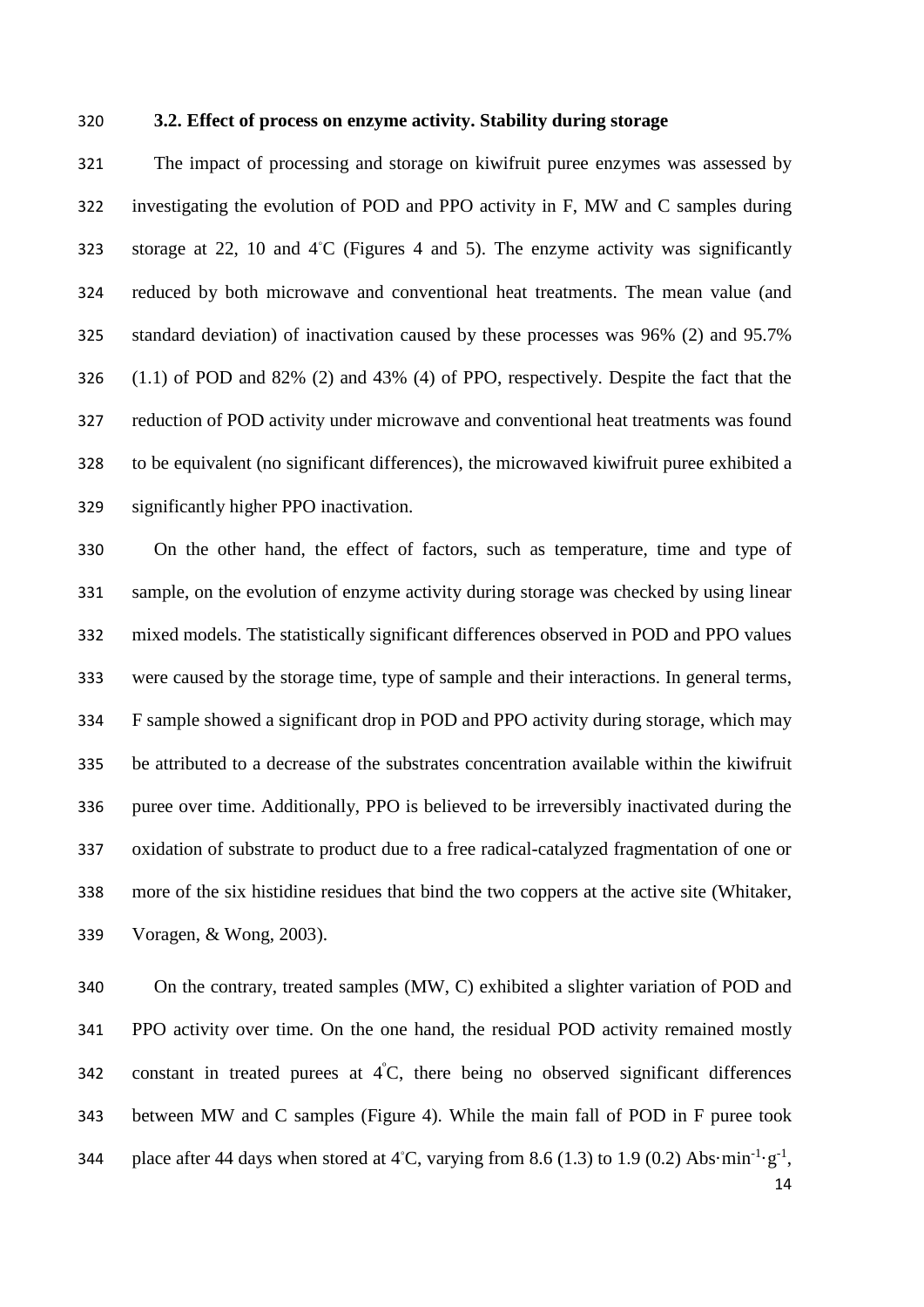# **3.2. Effect of process on enzyme activity. Stability during storage**

 The impact of processing and storage on kiwifruit puree enzymes was assessed by investigating the evolution of POD and PPO activity in F, MW and C samples during 323 storage at 22, 10 and  $4°C$  (Figures 4 and 5). The enzyme activity was significantly reduced by both microwave and conventional heat treatments. The mean value (and standard deviation) of inactivation caused by these processes was 96% (2) and 95.7% (1.1) of POD and 82% (2) and 43% (4) of PPO, respectively. Despite the fact that the reduction of POD activity under microwave and conventional heat treatments was found to be equivalent (no significant differences), the microwaved kiwifruit puree exhibited a significantly higher PPO inactivation.

 On the other hand, the effect of factors, such as temperature, time and type of sample, on the evolution of enzyme activity during storage was checked by using linear mixed models. The statistically significant differences observed in POD and PPO values were caused by the storage time, type of sample and their interactions. In general terms, F sample showed a significant drop in POD and PPO activity during storage, which may be attributed to a decrease of the substrates concentration available within the kiwifruit puree over time. Additionally, PPO is believed to be irreversibly inactivated during the oxidation of substrate to product due to a free radical-catalyzed fragmentation of one or more of the six histidine residues that bind the two coppers at the active site (Whitaker, Voragen, & Wong, 2003).

 On the contrary, treated samples (MW, C) exhibited a slighter variation of POD and PPO activity over time. On the one hand, the residual POD activity remained mostly 342 constant in treated purees at  $4^{\circ}C$ , there being no observed significant differences between MW and C samples (Figure 4). While the main fall of POD in F puree took 344 place after 44 days when stored at 4°C, varying from 8.6 (1.3) to 1.9 (0.2) Abs·min<sup>-1</sup>·g<sup>-1</sup>,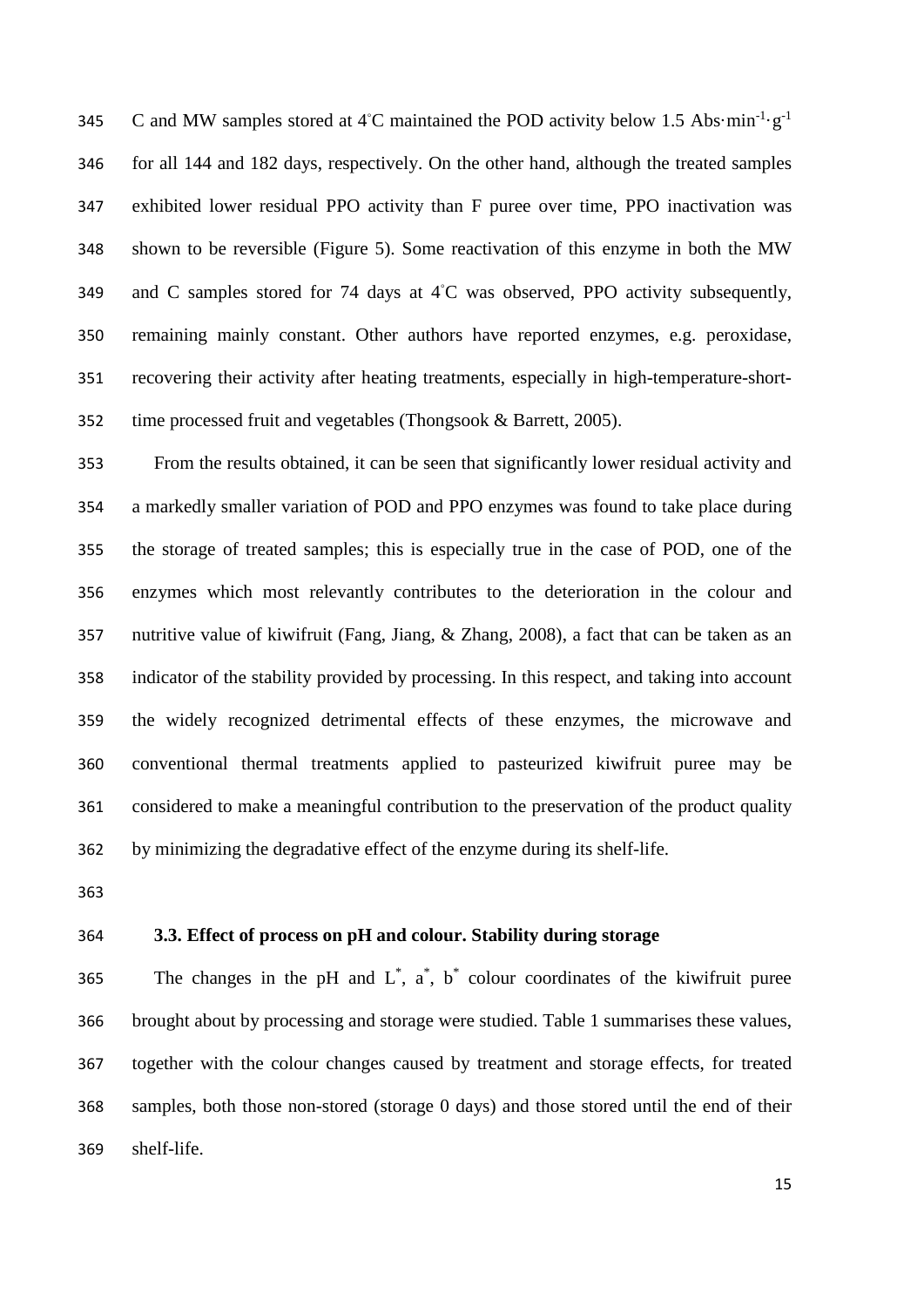345 C and MW samples stored at 4℃ maintained the POD activity below 1.5 Abs·min<sup>-1</sup>·g<sup>-1</sup> for all 144 and 182 days, respectively. On the other hand, although the treated samples exhibited lower residual PPO activity than F puree over time, PPO inactivation was shown to be reversible (Figure 5). Some reactivation of this enzyme in both the MW 349 and C samples stored for 74 days at 4°C was observed, PPO activity subsequently, remaining mainly constant. Other authors have reported enzymes, e.g. peroxidase, recovering their activity after heating treatments, especially in high-temperature-short-time processed fruit and vegetables (Thongsook & Barrett, 2005).

 From the results obtained, it can be seen that significantly lower residual activity and a markedly smaller variation of POD and PPO enzymes was found to take place during the storage of treated samples; this is especially true in the case of POD, one of the enzymes which most relevantly contributes to the deterioration in the colour and nutritive value of kiwifruit (Fang, Jiang, & Zhang, 2008), a fact that can be taken as an indicator of the stability provided by processing. In this respect, and taking into account the widely recognized detrimental effects of these enzymes, the microwave and conventional thermal treatments applied to pasteurized kiwifruit puree may be considered to make a meaningful contribution to the preservation of the product quality by minimizing the degradative effect of the enzyme during its shelf-life.

# **3.3. Effect of process on pH and colour. Stability during storage**

365 The changes in the pH and  $L^*$ ,  $a^*$ ,  $b^*$  colour coordinates of the kiwifruit puree brought about by processing and storage were studied. Table 1 summarises these values, together with the colour changes caused by treatment and storage effects, for treated samples, both those non-stored (storage 0 days) and those stored until the end of their shelf-life.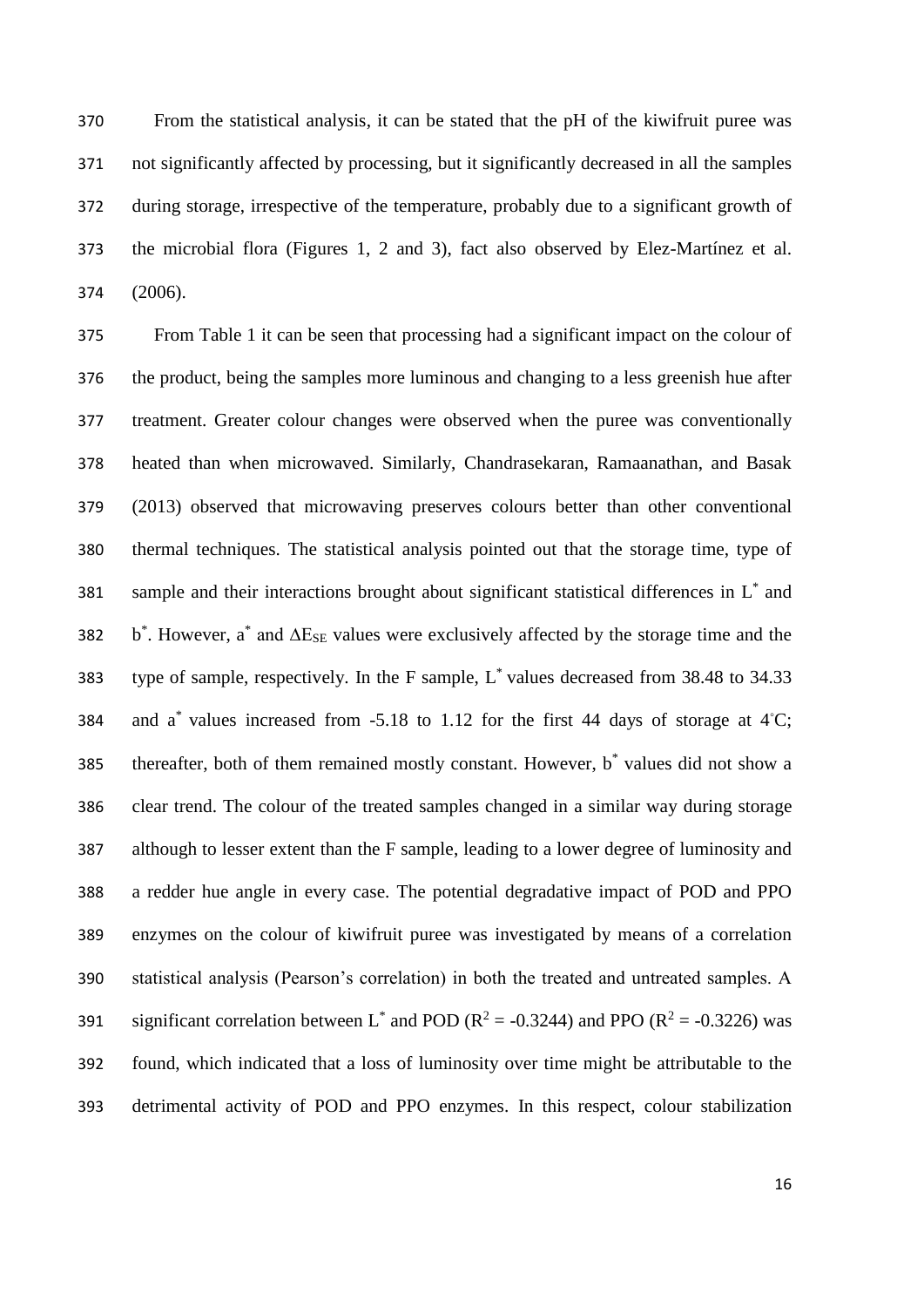From the statistical analysis, it can be stated that the pH of the kiwifruit puree was not significantly affected by processing, but it significantly decreased in all the samples during storage, irrespective of the temperature, probably due to a significant growth of the microbial flora (Figures 1, 2 and 3), fact also observed by Elez-Martínez et al. (2006).

 From Table 1 it can be seen that processing had a significant impact on the colour of the product, being the samples more luminous and changing to a less greenish hue after treatment. Greater colour changes were observed when the puree was conventionally heated than when microwaved. Similarly, Chandrasekaran, Ramaanathan, and Basak (2013) observed that microwaving preserves colours better than other conventional thermal techniques. The statistical analysis pointed out that the storage time, type of 381 sample and their interactions brought about significant statistical differences in  $L^*$  and 382 b<sup>\*</sup>. However, a<sup>\*</sup> and  $\Delta E_{SE}$  values were exclusively affected by the storage time and the 383 type of sample, respectively. In the F sample, L<sup>\*</sup> values decreased from 38.48 to 34.33 384 and  $a^*$  values increased from -5.18 to 1.12 for the first 44 days of storage at 4℃; 385 thereafter, both of them remained mostly constant. However,  $b^*$  values did not show a clear trend. The colour of the treated samples changed in a similar way during storage although to lesser extent than the F sample, leading to a lower degree of luminosity and a redder hue angle in every case. The potential degradative impact of POD and PPO enzymes on the colour of kiwifruit puree was investigated by means of a correlation statistical analysis (Pearson's correlation) in both the treated and untreated samples. A 391 significant correlation between L<sup>\*</sup> and POD ( $R^2 = -0.3244$ ) and PPO ( $R^2 = -0.3226$ ) was found, which indicated that a loss of luminosity over time might be attributable to the detrimental activity of POD and PPO enzymes. In this respect, colour stabilization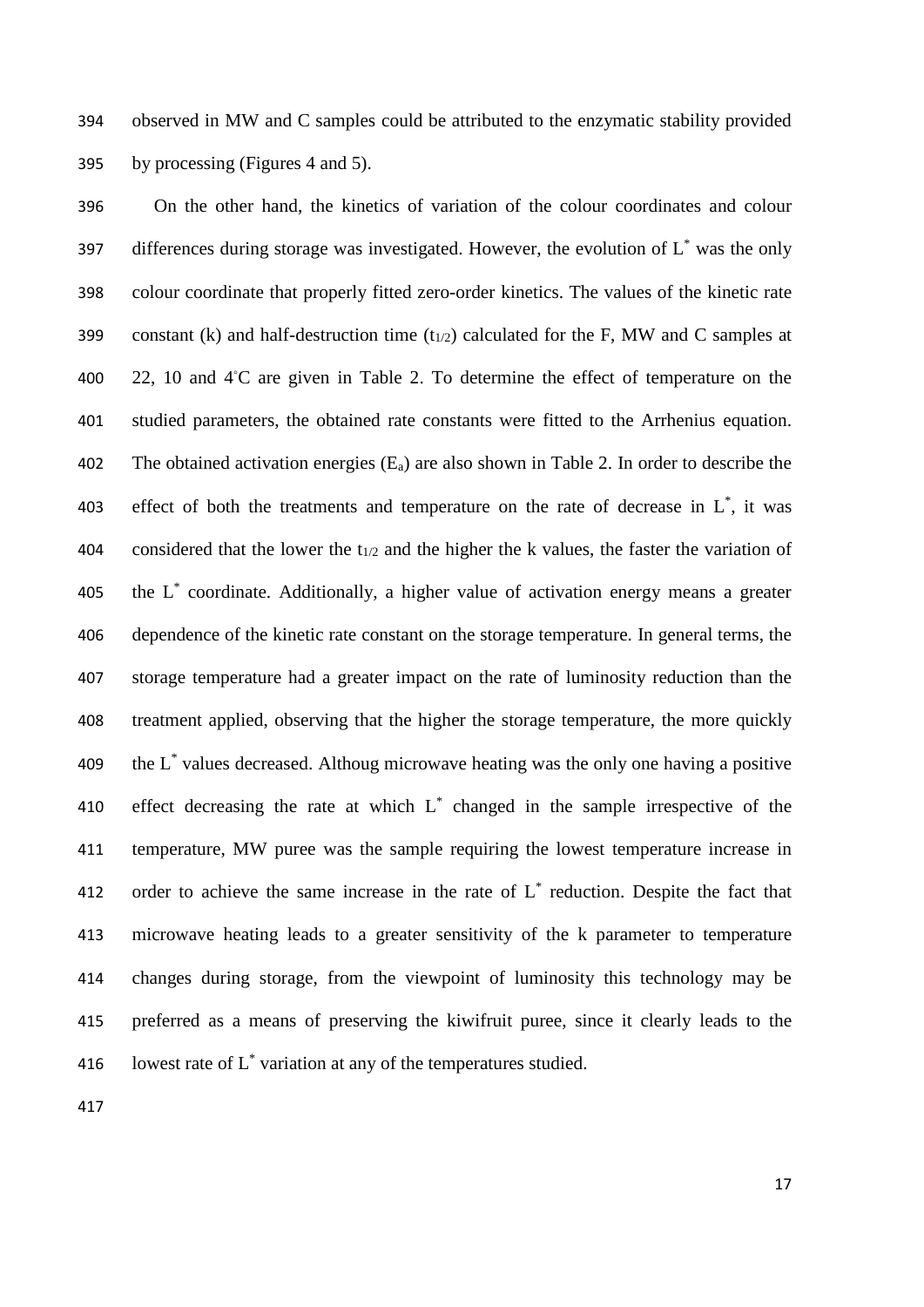394 observed in MW and C samples could be attributed to the enzymatic stability provided 395 by processing (Figures 4 and 5).

396 On the other hand, the kinetics of variation of the colour coordinates and colour 397 differences during storage was investigated. However, the evolution of  $L^*$  was the only 398 colour coordinate that properly fitted zero-order kinetics. The values of the kinetic rate 399 constant (k) and half-destruction time  $(t_{1/2})$  calculated for the F, MW and C samples at 400 22, 10 and 4℃ are given in Table 2. To determine the effect of temperature on the 401 studied parameters, the obtained rate constants were fitted to the Arrhenius equation. 402 The obtained activation energies  $(E_a)$  are also shown in Table 2. In order to describe the 403 effect of both the treatments and temperature on the rate of decrease in  $L^*$ , it was 404 considered that the lower the  $t_{1/2}$  and the higher the k values, the faster the variation of 405 the L<sup>\*</sup> coordinate. Additionally, a higher value of activation energy means a greater 406 dependence of the kinetic rate constant on the storage temperature. In general terms, the 407 storage temperature had a greater impact on the rate of luminosity reduction than the 408 treatment applied, observing that the higher the storage temperature, the more quickly 409 the  $L^*$  values decreased. Althoug microwave heating was the only one having a positive 410 effect decreasing the rate at which  $L^*$  changed in the sample irrespective of the 411 temperature, MW puree was the sample requiring the lowest temperature increase in 412 order to achieve the same increase in the rate of  $L^*$  reduction. Despite the fact that 413 microwave heating leads to a greater sensitivity of the k parameter to temperature 414 changes during storage, from the viewpoint of luminosity this technology may be 415 preferred as a means of preserving the kiwifruit puree, since it clearly leads to the 416 lowest rate of  $L^*$  variation at any of the temperatures studied.

417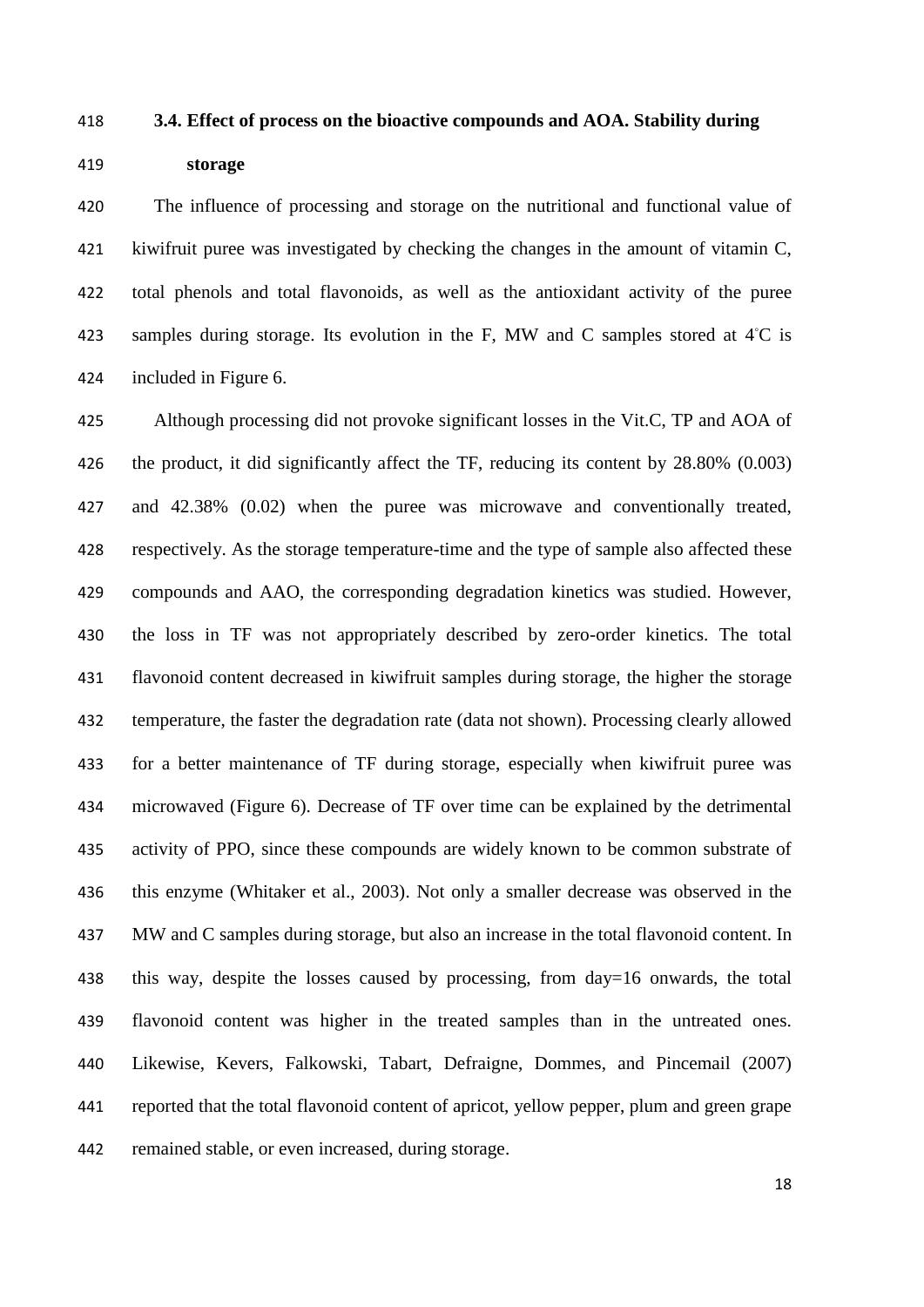#### **3.4. Effect of process on the bioactive compounds and AOA. Stability during**

# **storage**

 The influence of processing and storage on the nutritional and functional value of kiwifruit puree was investigated by checking the changes in the amount of vitamin C, total phenols and total flavonoids, as well as the antioxidant activity of the puree 423 samples during storage. Its evolution in the F, MW and C samples stored at  $4^{\circ}$ C is included in Figure 6.

 Although processing did not provoke significant losses in the Vit.C, TP and AOA of the product, it did significantly affect the TF, reducing its content by 28.80% (0.003) and 42.38% (0.02) when the puree was microwave and conventionally treated, respectively. As the storage temperature-time and the type of sample also affected these compounds and AAO, the corresponding degradation kinetics was studied. However, the loss in TF was not appropriately described by zero-order kinetics. The total flavonoid content decreased in kiwifruit samples during storage, the higher the storage temperature, the faster the degradation rate (data not shown). Processing clearly allowed for a better maintenance of TF during storage, especially when kiwifruit puree was microwaved (Figure 6). Decrease of TF over time can be explained by the detrimental activity of PPO, since these compounds are widely known to be common substrate of this enzyme (Whitaker et al., 2003). Not only a smaller decrease was observed in the MW and C samples during storage, but also an increase in the total flavonoid content. In this way, despite the losses caused by processing, from day=16 onwards, the total flavonoid content was higher in the treated samples than in the untreated ones. Likewise, Kevers, Falkowski, Tabart, Defraigne, Dommes, and Pincemail (2007) reported that the total flavonoid content of apricot, yellow pepper, plum and green grape remained stable, or even increased, during storage.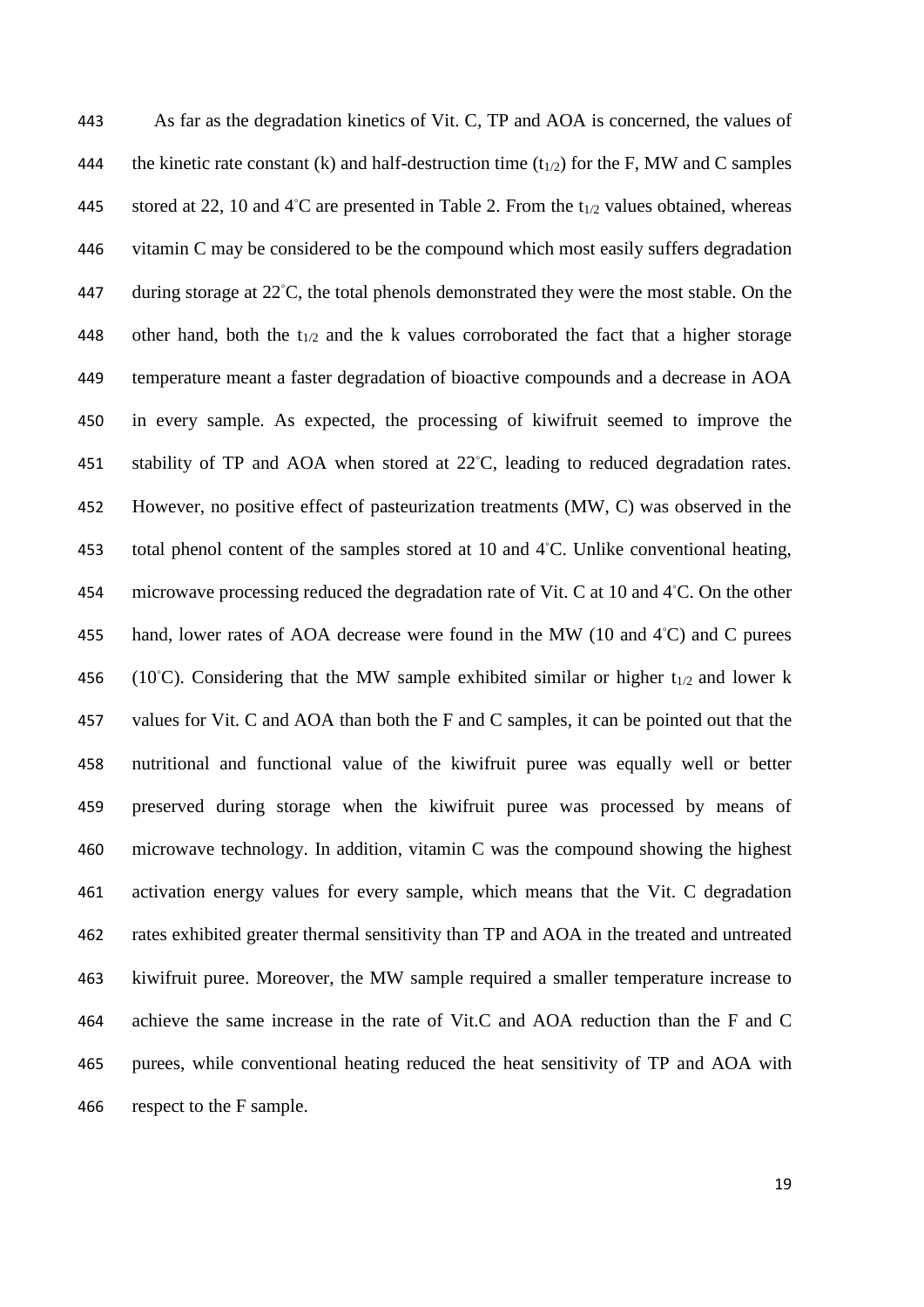As far as the degradation kinetics of Vit. C, TP and AOA is concerned, the values of 444 the kinetic rate constant (k) and half-destruction time  $(t_{1/2})$  for the F, MW and C samples 445 stored at 22, 10 and 4℃ are presented in Table 2. From the  $t_{1/2}$  values obtained, whereas vitamin C may be considered to be the compound which most easily suffers degradation 447 during storage at 22℃, the total phenols demonstrated they were the most stable. On the 448 other hand, both the t<sub>1/2</sub> and the k values corroborated the fact that a higher storage temperature meant a faster degradation of bioactive compounds and a decrease in AOA in every sample. As expected, the processing of kiwifruit seemed to improve the 451 stability of TP and AOA when stored at 22℃, leading to reduced degradation rates. However, no positive effect of pasteurization treatments (MW, C) was observed in the 453 total phenol content of the samples stored at 10 and 4℃. Unlike conventional heating, 454 microwave processing reduced the degradation rate of Vit. C at 10 and 4℃. On the other 455 hand, lower rates of AOA decrease were found in the MW (10 and 4℃) and C purees 456 (10°C). Considering that the MW sample exhibited similar or higher  $t_{1/2}$  and lower k values for Vit. C and AOA than both the F and C samples, it can be pointed out that the nutritional and functional value of the kiwifruit puree was equally well or better preserved during storage when the kiwifruit puree was processed by means of microwave technology. In addition, vitamin C was the compound showing the highest activation energy values for every sample, which means that the Vit. C degradation rates exhibited greater thermal sensitivity than TP and AOA in the treated and untreated kiwifruit puree. Moreover, the MW sample required a smaller temperature increase to achieve the same increase in the rate of Vit.C and AOA reduction than the F and C purees, while conventional heating reduced the heat sensitivity of TP and AOA with respect to the F sample.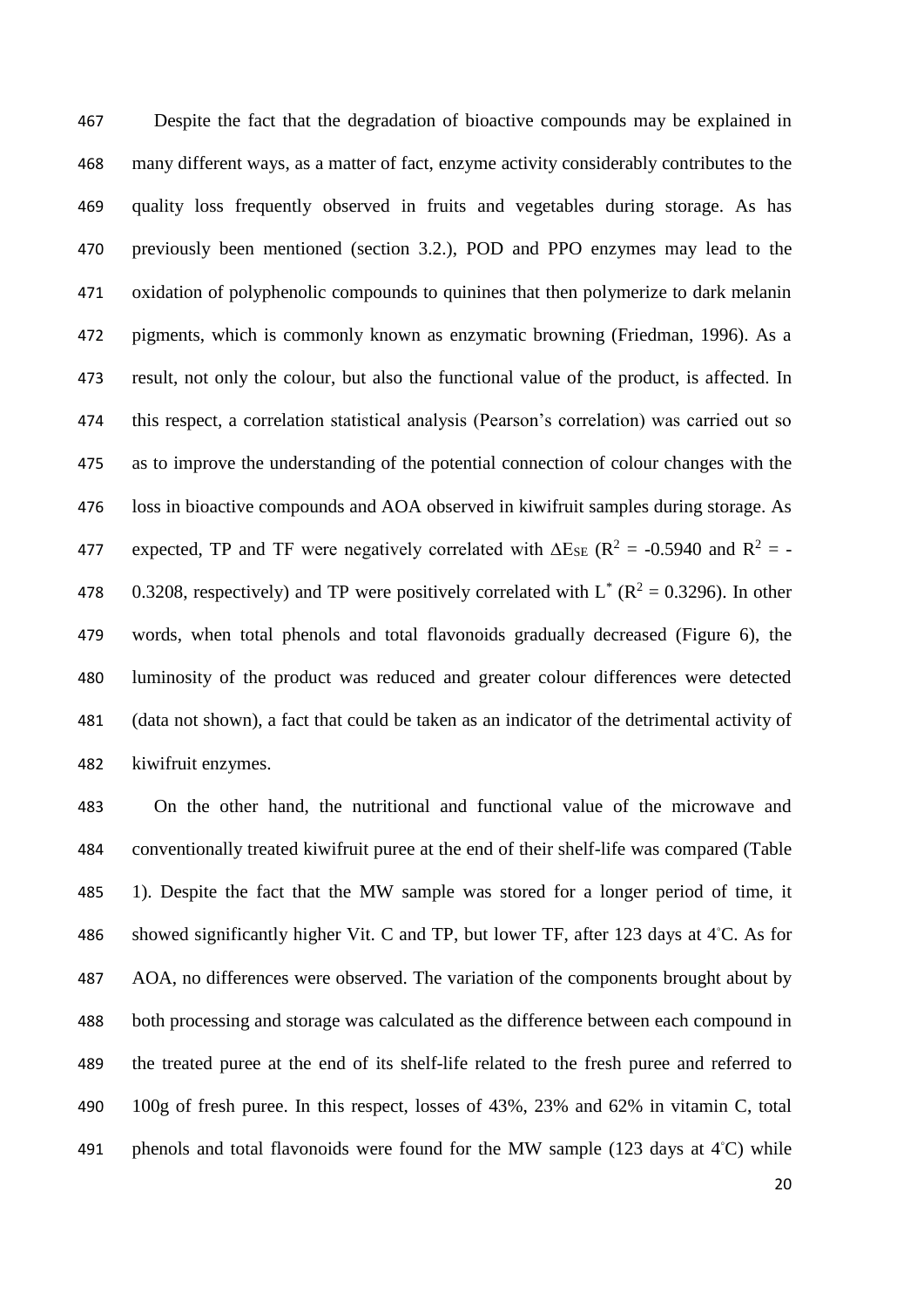Despite the fact that the degradation of bioactive compounds may be explained in many different ways, as a matter of fact, enzyme activity considerably contributes to the quality loss frequently observed in fruits and vegetables during storage. As has previously been mentioned (section 3.2.), POD and PPO enzymes may lead to the oxidation of polyphenolic compounds to quinines that then polymerize to dark melanin pigments, which is commonly known as enzymatic browning (Friedman, 1996). As a result, not only the colour, but also the functional value of the product, is affected. In this respect, a correlation statistical analysis (Pearson's correlation) was carried out so as to improve the understanding of the potential connection of colour changes with the loss in bioactive compounds and AOA observed in kiwifruit samples during storage. As 477 expected, TP and TF were negatively correlated with  $\Delta E_{SE}$  (R<sup>2</sup> = -0.5940 and R<sup>2</sup> = -478 0.3208, respectively) and TP were positively correlated with  $L^*$  ( $R^2 = 0.3296$ ). In other words, when total phenols and total flavonoids gradually decreased (Figure 6), the luminosity of the product was reduced and greater colour differences were detected (data not shown), a fact that could be taken as an indicator of the detrimental activity of kiwifruit enzymes.

 On the other hand, the nutritional and functional value of the microwave and conventionally treated kiwifruit puree at the end of their shelf-life was compared (Table 1). Despite the fact that the MW sample was stored for a longer period of time, it 486 showed significantly higher Vit. C and TP, but lower TF, after 123 days at 4°C. As for AOA, no differences were observed. The variation of the components brought about by both processing and storage was calculated as the difference between each compound in the treated puree at the end of its shelf-life related to the fresh puree and referred to 100g of fresh puree. In this respect, losses of 43%, 23% and 62% in vitamin C, total 491 phenols and total flavonoids were found for the MW sample (123 days at  $4^{\circ}$ C) while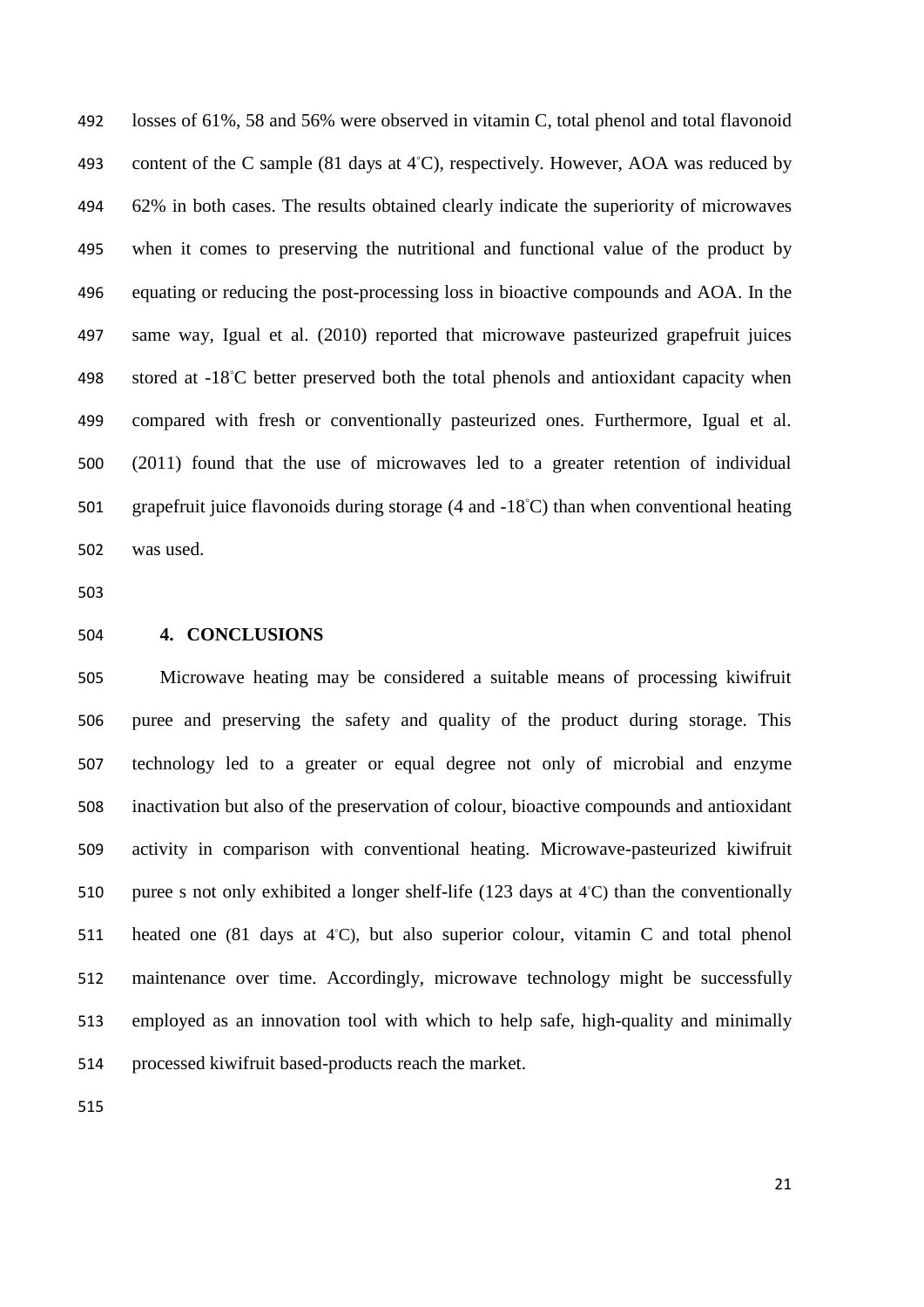losses of 61%, 58 and 56% were observed in vitamin C, total phenol and total flavonoid 493 content of the C sample (81 days at 4°C), respectively. However, AOA was reduced by 62% in both cases. The results obtained clearly indicate the superiority of microwaves when it comes to preserving the nutritional and functional value of the product by equating or reducing the post-processing loss in bioactive compounds and AOA. In the same way, Igual et al. (2010) reported that microwave pasteurized grapefruit juices 498 stored at -18℃ better preserved both the total phenols and antioxidant capacity when compared with fresh or conventionally pasteurized ones. Furthermore, Igual et al. (2011) found that the use of microwaves led to a greater retention of individual 501 grapefruit juice flavonoids during storage (4 and -18℃) than when conventional heating was used.

**4. CONCLUSIONS**

 Microwave heating may be considered a suitable means of processing kiwifruit puree and preserving the safety and quality of the product during storage. This technology led to a greater or equal degree not only of microbial and enzyme inactivation but also of the preservation of colour, bioactive compounds and antioxidant activity in comparison with conventional heating. Microwave-pasteurized kiwifruit 510 puree s not only exhibited a longer shelf-life  $(123 \text{ days at } 4^{\circ}\text{C})$  than the conventionally 511 heated one (81 days at 4°C), but also superior colour, vitamin C and total phenol maintenance over time. Accordingly, microwave technology might be successfully employed as an innovation tool with which to help safe, high-quality and minimally processed kiwifruit based-products reach the market.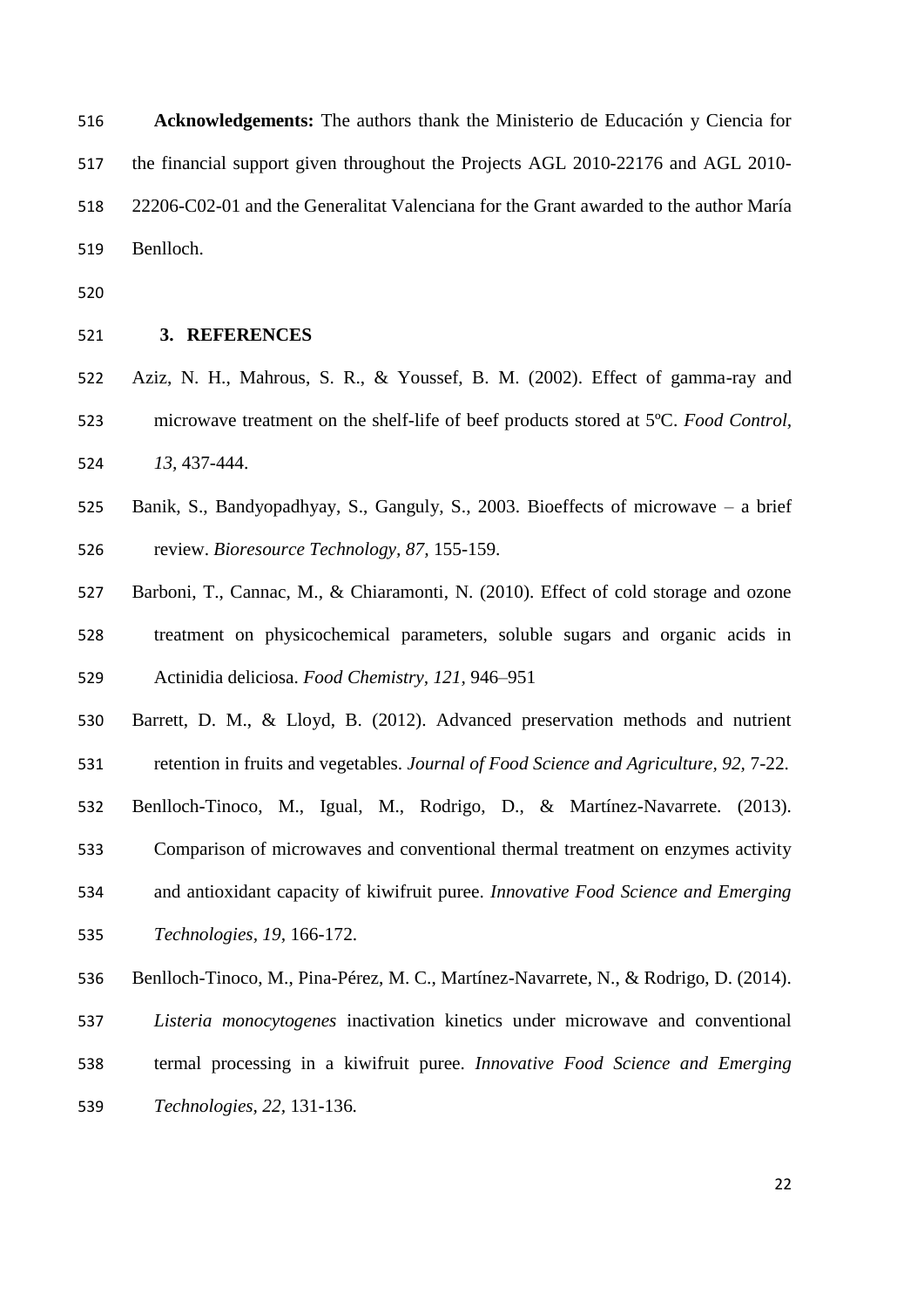**Acknowledgements:** The authors thank the Ministerio de Educación y Ciencia for the financial support given throughout the Projects AGL 2010-22176 and AGL 2010- 22206-C02-01 and the Generalitat Valenciana for the Grant awarded to the author María Benlloch.

- 
- **3. REFERENCES**
- Aziz, N. H., Mahrous, S. R., & Youssef, B. M. (2002). Effect of gamma-ray and microwave treatment on the shelf-life of beef products stored at 5ºC. *Food Control, 13,* 437-444.
- Banik, S., Bandyopadhyay, S., Ganguly, S., 2003. Bioeffects of microwave a brief review. *Bioresource Technology, 87,* 155-159.
- Barboni, T., Cannac, M., & Chiaramonti, N. (2010). Effect of cold storage and ozone treatment on physicochemical parameters, soluble sugars and organic acids in Actinidia deliciosa. *Food Chemistry, 121,* 946–951
- Barrett, D. M., & Lloyd, B. (2012). Advanced preservation methods and nutrient
- retention in fruits and vegetables. *Journal of Food Science and Agriculture, 92,* 7-22.
- Benlloch-Tinoco, M., Igual, M., Rodrigo, D., & Martínez-Navarrete. (2013).
- Comparison of microwaves and conventional thermal treatment on enzymes activity
- and antioxidant capacity of kiwifruit puree. *Innovative Food Science and Emerging*
- *Technologies, 19,* 166-172.
- Benlloch-Tinoco, M., Pina-Pérez, M. C., Martínez-Navarrete, N., & Rodrigo, D. (2014).
- *Listeria monocytogenes* inactivation kinetics under microwave and conventional
- termal processing in a kiwifruit puree. *Innovative Food Science and Emerging*
- *Technologies, 22,* 131-136*.*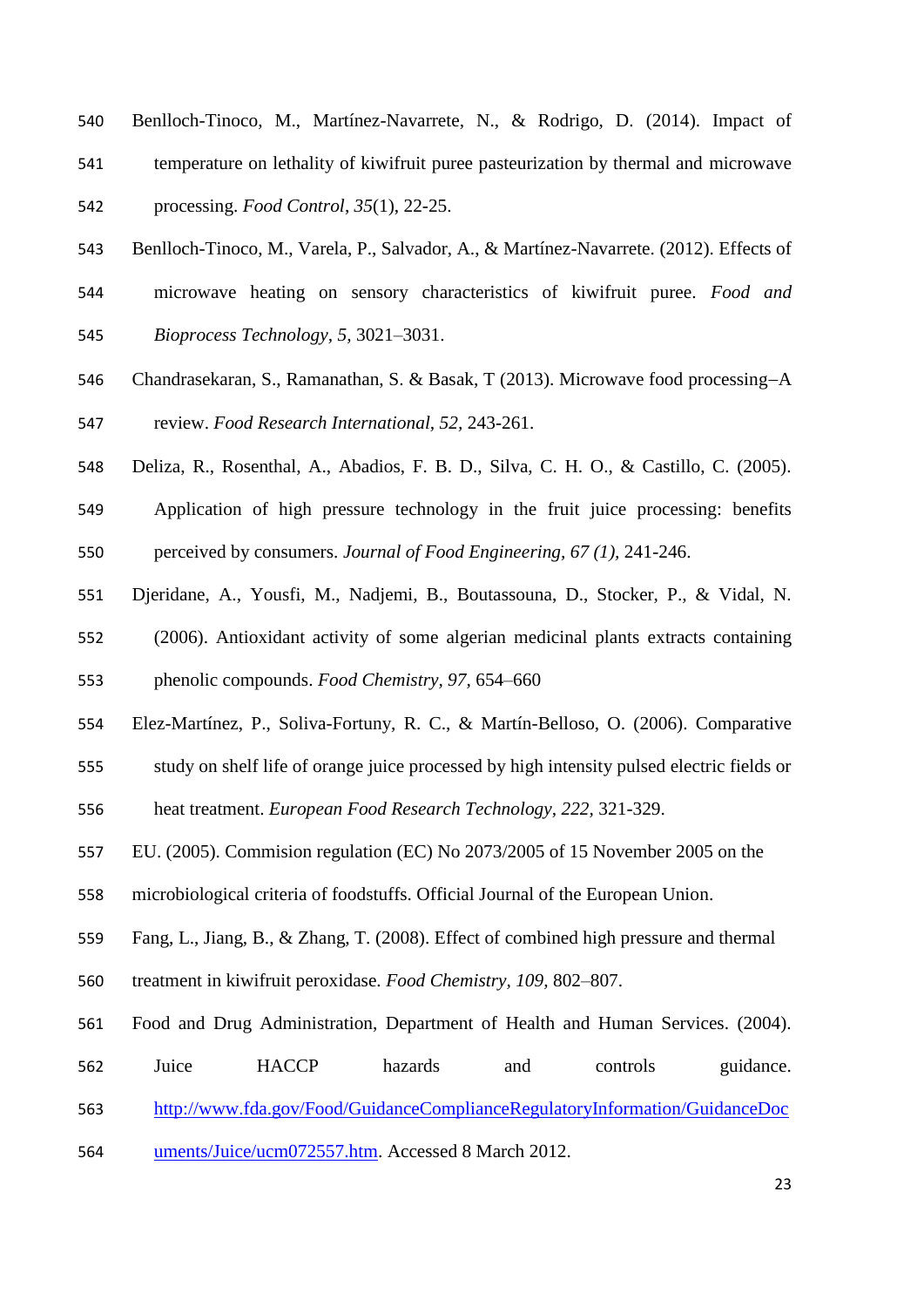- Benlloch-Tinoco, M., Martínez-Navarrete, N., & Rodrigo, D. (2014). Impact of temperature on lethality of kiwifruit puree pasteurization by thermal and microwave processing. *Food Control*, *35*(1), 22-25.
- Benlloch-Tinoco, M., Varela, P., Salvador, A., & Martínez-Navarrete. (2012). Effects of
- microwave heating on sensory characteristics of kiwifruit puree. *Food and*
- *Bioprocess Technology, 5,* 3021–3031.
- 546 Chandrasekaran, S., Ramanathan, S. & Basak, T (2013). Microwave food processing-A

review. *Food Research International, 52,* 243-261.

- Deliza, R., Rosenthal, A., Abadios, F. B. D., Silva, C. H. O., & Castillo, C. (2005).
- Application of high pressure technology in the fruit juice processing: benefits perceived by consumers. *Journal of Food Engineering, 67 (1),* 241-246.
- Djeridane, A., Yousfi, M., Nadjemi, B., Boutassouna, D., Stocker, P., & Vidal, N.
- (2006). Antioxidant activity of some algerian medicinal plants extracts containing

phenolic compounds. *Food Chemistry, 97,* 654–660

- Elez-Martínez, P., Soliva-Fortuny, R. C., & Martín-Belloso, O. (2006). Comparative
- study on shelf life of orange juice processed by high intensity pulsed electric fields or

heat treatment. *European Food Research Technology, 222,* 321-329.

- EU. (2005). Commision regulation (EC) No 2073/2005 of 15 November 2005 on the
- microbiological criteria of foodstuffs. Official Journal of the European Union.
- Fang, L., Jiang, B., & Zhang, T. (2008). Effect of combined high pressure and thermal
- treatment in kiwifruit peroxidase. *Food Chemistry, 109,* 802–807.
- Food and Drug Administration, Department of Health and Human Services. (2004).
- 562 Juice HACCP hazards and controls guidance.
- [http://www.fda.gov/Food/GuidanceComplianceRegulatoryInformation/GuidanceDoc](http://www.fda.gov/Food/GuidanceComplianceRegulatoryInformation/GuidanceDocuments/Juice/ucm072557.htm)
- [uments/Juice/ucm072557.htm.](http://www.fda.gov/Food/GuidanceComplianceRegulatoryInformation/GuidanceDocuments/Juice/ucm072557.htm) Accessed 8 March 2012.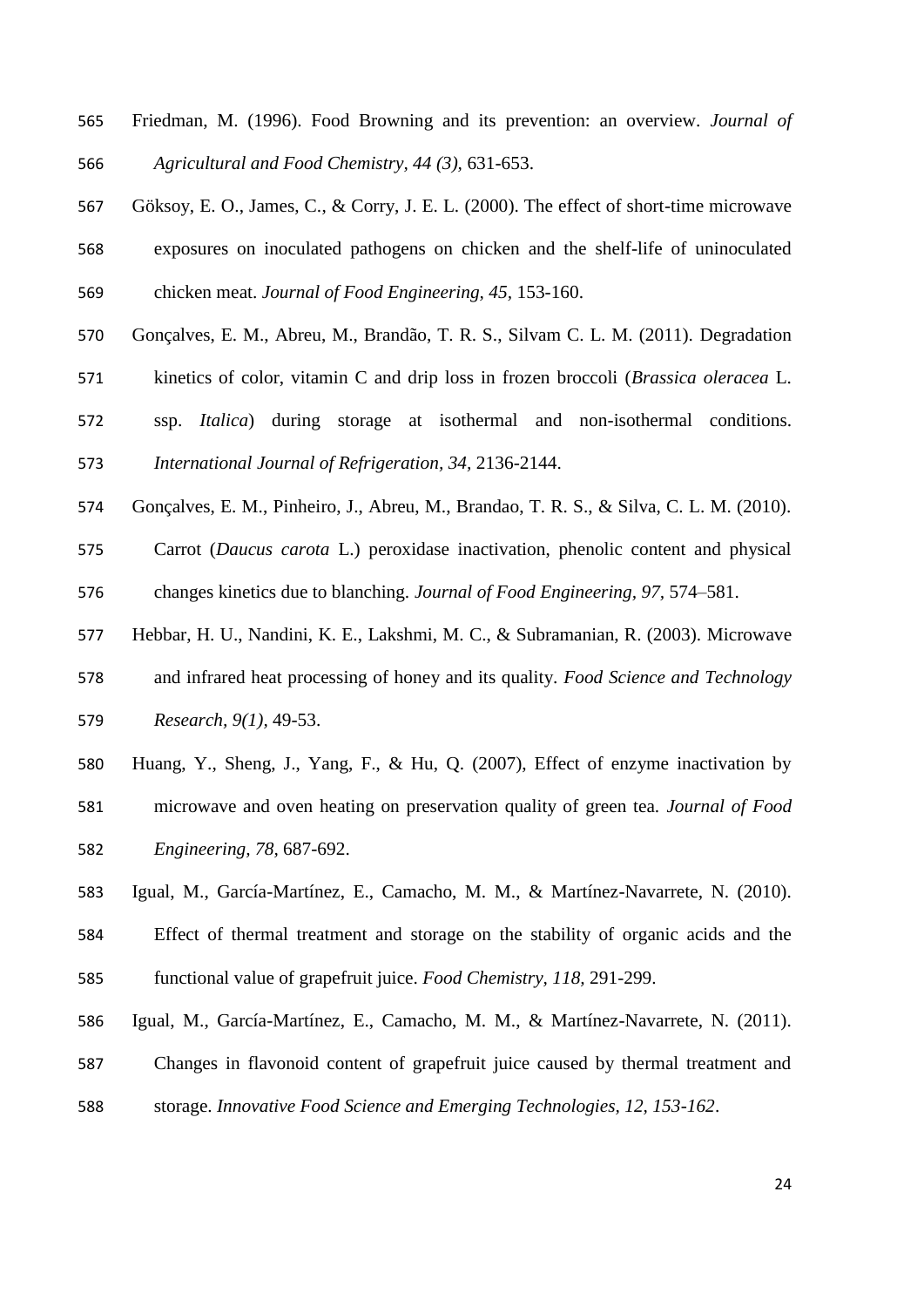- Friedman, M. (1996). Food Browning and its prevention: an overview. *Journal of Agricultural and Food Chemistry, 44 (3),* 631-653.
- Göksoy, E. O., James, C., & Corry, J. E. L. (2000). The effect of short-time microwave exposures on inoculated pathogens on chicken and the shelf-life of uninoculated chicken meat. *Journal of Food Engineering, 45,* 153-160.
- Gonçalves, E. M., Abreu, M., Brandão, T. R. S., Silvam C. L. M. (2011). Degradation
- kinetics of color, vitamin C and drip loss in frozen broccoli (*Brassica oleracea* L.
- ssp. *Italica*) during storage at isothermal and non-isothermal conditions. *International Journal of Refrigeration, 34,* 2136-2144.
- Gonçalves, E. M., Pinheiro, J., Abreu, M., Brandao, T. R. S., & Silva, C. L. M. (2010).
- Carrot (*Daucus carota* L.) peroxidase inactivation, phenolic content and physical changes kinetics due to blanching. *Journal of Food Engineering, 97,* 574–581.
- Hebbar, H. U., Nandini, K. E., Lakshmi, M. C., & Subramanian, R. (2003). Microwave
- and infrared heat processing of honey and its quality. *Food Science and Technology Research, 9(1),* 49-53.
- Huang, Y., Sheng, J., Yang, F., & Hu, Q. (2007), Effect of enzyme inactivation by
- microwave and oven heating on preservation quality of green tea. *Journal of Food Engineering, 78,* 687-692.
- Igual, M., García-Martínez, E., Camacho, M. M., & Martínez-Navarrete, N. (2010).
- Effect of thermal treatment and storage on the stability of organic acids and the functional value of grapefruit juice. *Food Chemistry, 118,* 291-299.
- Igual, M., García-Martínez, E., Camacho, M. M., & Martínez-Navarrete, N. (2011).
- Changes in flavonoid content of grapefruit juice caused by thermal treatment and
- storage. *Innovative Food Science and Emerging Technologies, 12, 153-162*.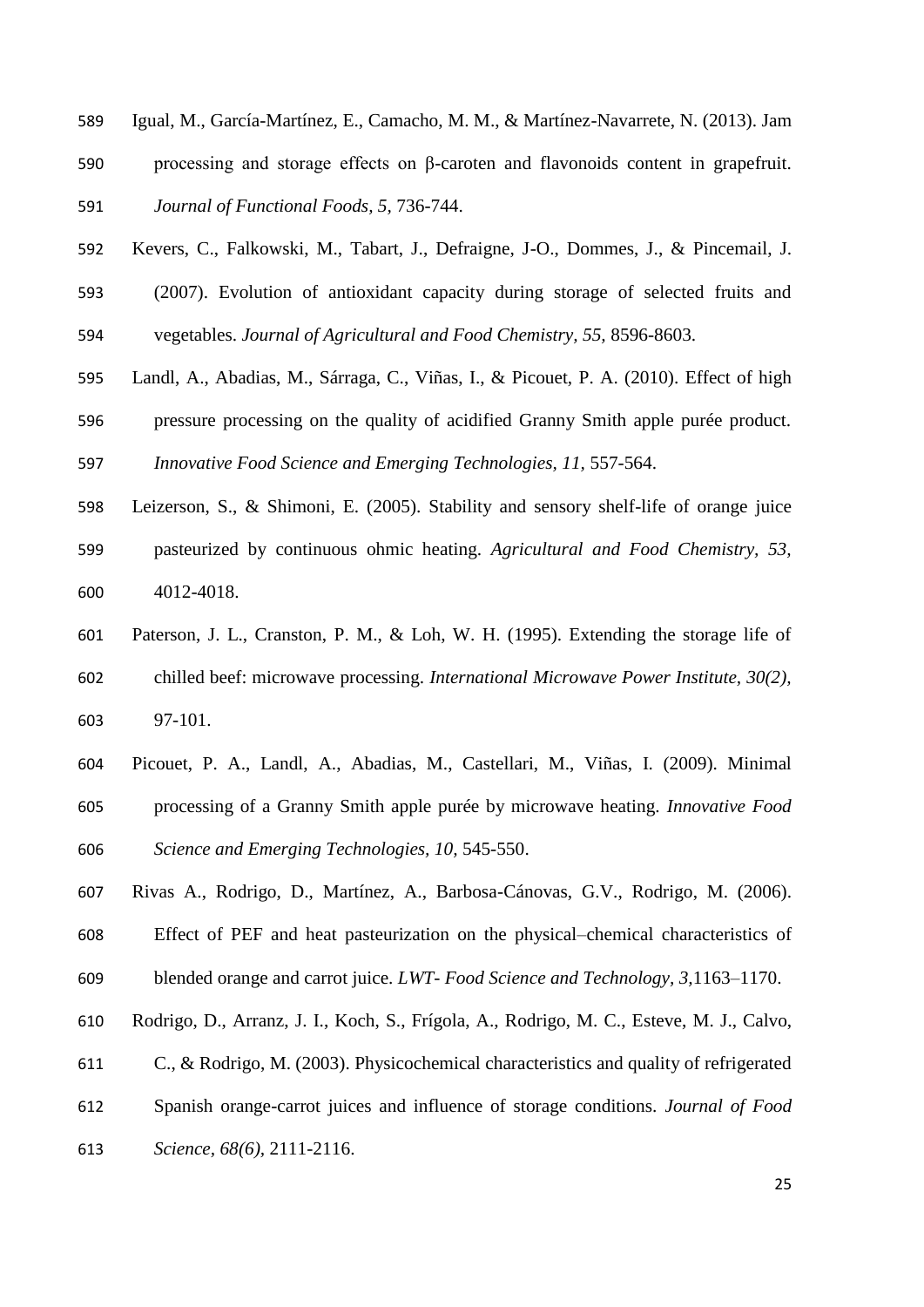- Igual, M., García-Martínez, E., Camacho, M. M., & Martínez-Navarrete, N. (2013). Jam processing and storage effects on β-caroten and flavonoids content in grapefruit. *Journal of Functional Foods, 5,* 736-744.
- Kevers, C., Falkowski, M., Tabart, J., Defraigne, J-O., Dommes, J., & Pincemail, J.
- (2007). Evolution of antioxidant capacity during storage of selected fruits and vegetables. *Journal of Agricultural and Food Chemistry, 55,* 8596-8603.
- 
- Landl, A., Abadias, M., Sárraga, C., Viñas, I., & Picouet, P. A. (2010). Effect of high pressure processing on the quality of acidified Granny Smith apple purée product. *Innovative Food Science and Emerging Technologies, 11,* 557-564.
- Leizerson, S., & Shimoni, E. (2005). Stability and sensory shelf-life of orange juice pasteurized by continuous ohmic heating. *Agricultural and Food Chemistry, 53,* 4012-4018.
- Paterson, J. L., Cranston, P. M., & Loh, W. H. (1995). Extending the storage life of chilled beef: microwave processing. *International Microwave Power Institute, 30(2),* 97-101.
- Picouet, P. A., Landl, A., Abadias, M., Castellari, M., Viñas, I. (2009). Minimal processing of a Granny Smith apple purée by microwave heating. *Innovative Food Science and Emerging Technologies, 10,* 545-550.
- Rivas A., Rodrigo, D., Martínez, A., Barbosa-Cánovas, G.V., Rodrigo, M. (2006).
- Effect of PEF and heat pasteurization on the physical–chemical characteristics of
- blended orange and carrot juice. *LWT- Food Science and Technology, 3,*1163–1170.
- Rodrigo, D., Arranz, J. I., Koch, S., Frígola, A., Rodrigo, M. C., Esteve, M. J., Calvo,
- C., & Rodrigo, M. (2003). Physicochemical characteristics and quality of refrigerated
- Spanish orange-carrot juices and influence of storage conditions. *Journal of Food*
- *Science, 68(6),* 2111-2116.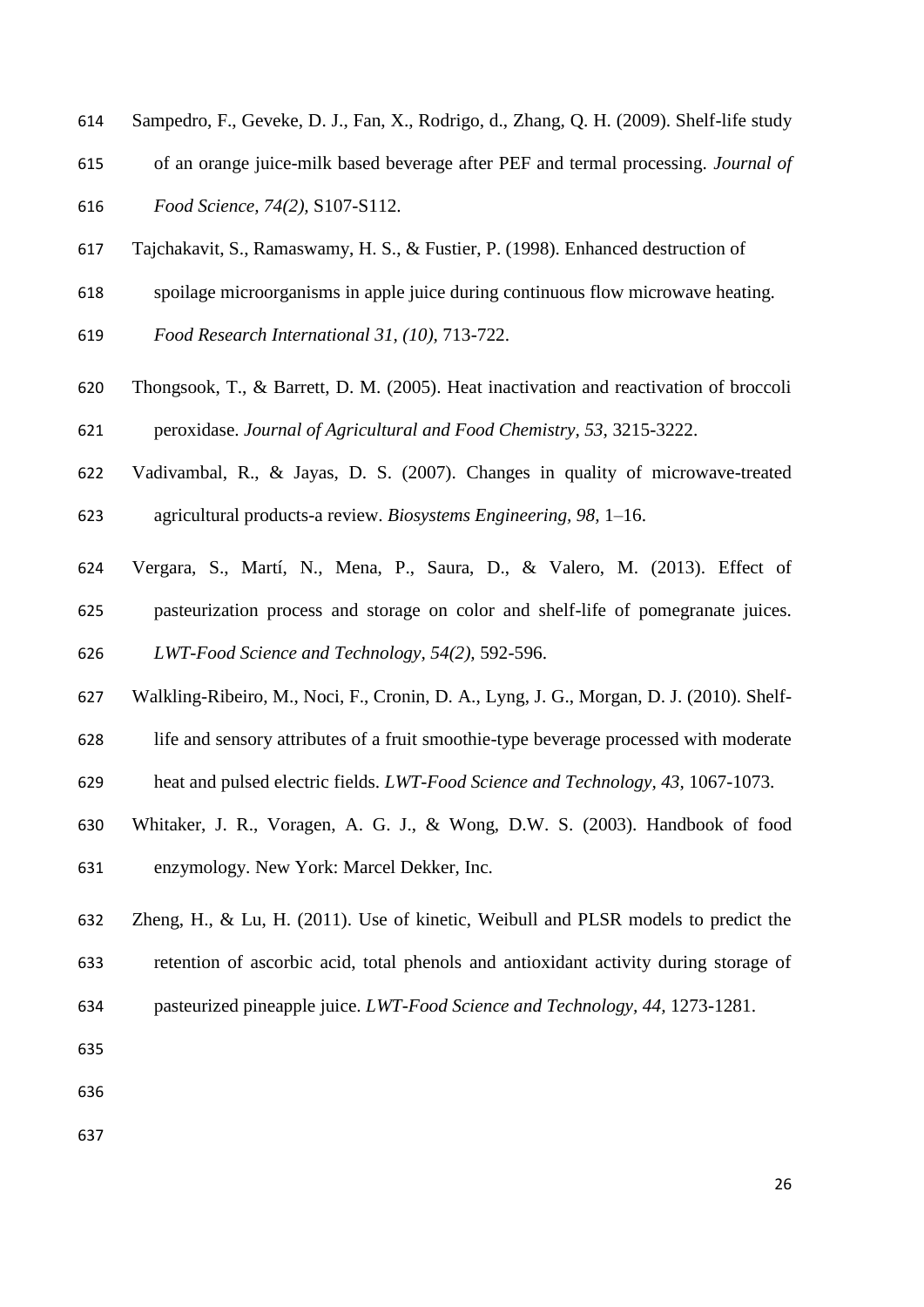- Sampedro, F., Geveke, D. J., Fan, X., Rodrigo, d., Zhang, Q. H. (2009). Shelf-life study
- of an orange juice-milk based beverage after PEF and termal processing. *Journal of*

*Food Science, 74(2),* S107-S112.

- Tajchakavit, S., Ramaswamy, H. S., & Fustier, P. (1998). Enhanced destruction of
- spoilage microorganisms in apple juice during continuous flow microwave heating.
- *Food Research International 31, (10),* 713-722.
- Thongsook, T., & Barrett, D. M. (2005). Heat inactivation and reactivation of broccoli peroxidase. *Journal of Agricultural and Food Chemistry, 53,* 3215-3222.
- Vadivambal, R., & Jayas, D. S. (2007). Changes in quality of microwave-treated
- agricultural products-a review. *Biosystems Engineering, 98,* 1–16.
- Vergara, S., Martí, N., Mena, P., Saura, D., & Valero, M. (2013). Effect of
- pasteurization process and storage on color and shelf-life of pomegranate juices.

*LWT-Food Science and Technology, 54(2),* 592-596.

- Walkling-Ribeiro, M., Noci, F., Cronin, D. A., Lyng, J. G., Morgan, D. J. (2010). Shelf-
- life and sensory attributes of a fruit smoothie-type beverage processed with moderate
- heat and pulsed electric fields. *LWT-Food Science and Technology, 43,* 1067-1073.
- Whitaker, J. R., Voragen, A. G. J., & Wong, D.W. S. (2003). Handbook of food
- enzymology. New York: Marcel Dekker, Inc.
- Zheng, H., & Lu, H. (2011). Use of kinetic, Weibull and PLSR models to predict the
- retention of ascorbic acid, total phenols and antioxidant activity during storage of
- pasteurized pineapple juice. *LWT-Food Science and Technology, 44,* 1273-1281.
- 
- 
-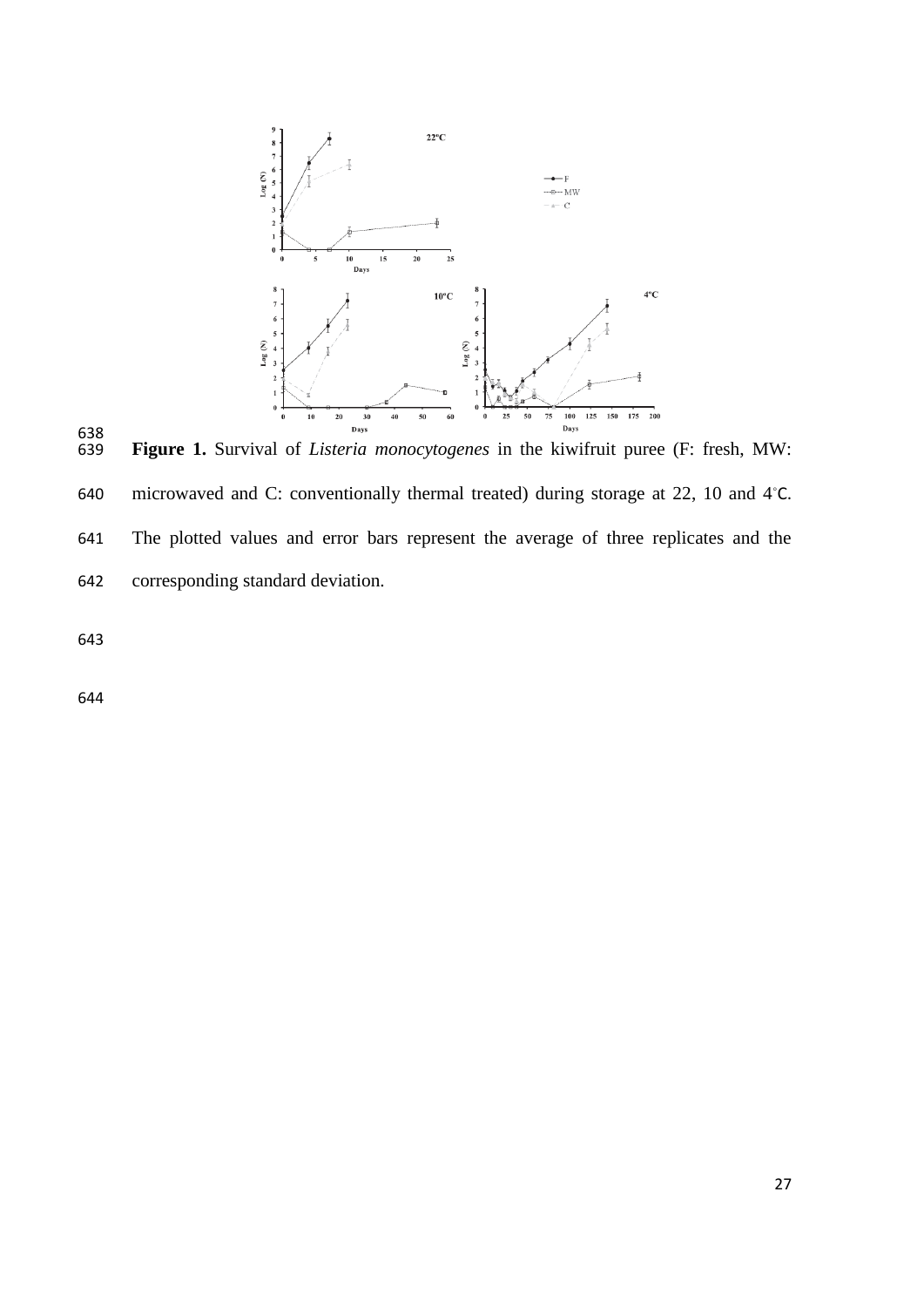

638<br>639 **Figure 1.** Survival of *Listeria monocytogenes* in the kiwifruit puree (F: fresh, MW: 640 microwaved and C: conventionally thermal treated) during storage at 22, 10 and 4 °C. The plotted values and error bars represent the average of three replicates and the corresponding standard deviation.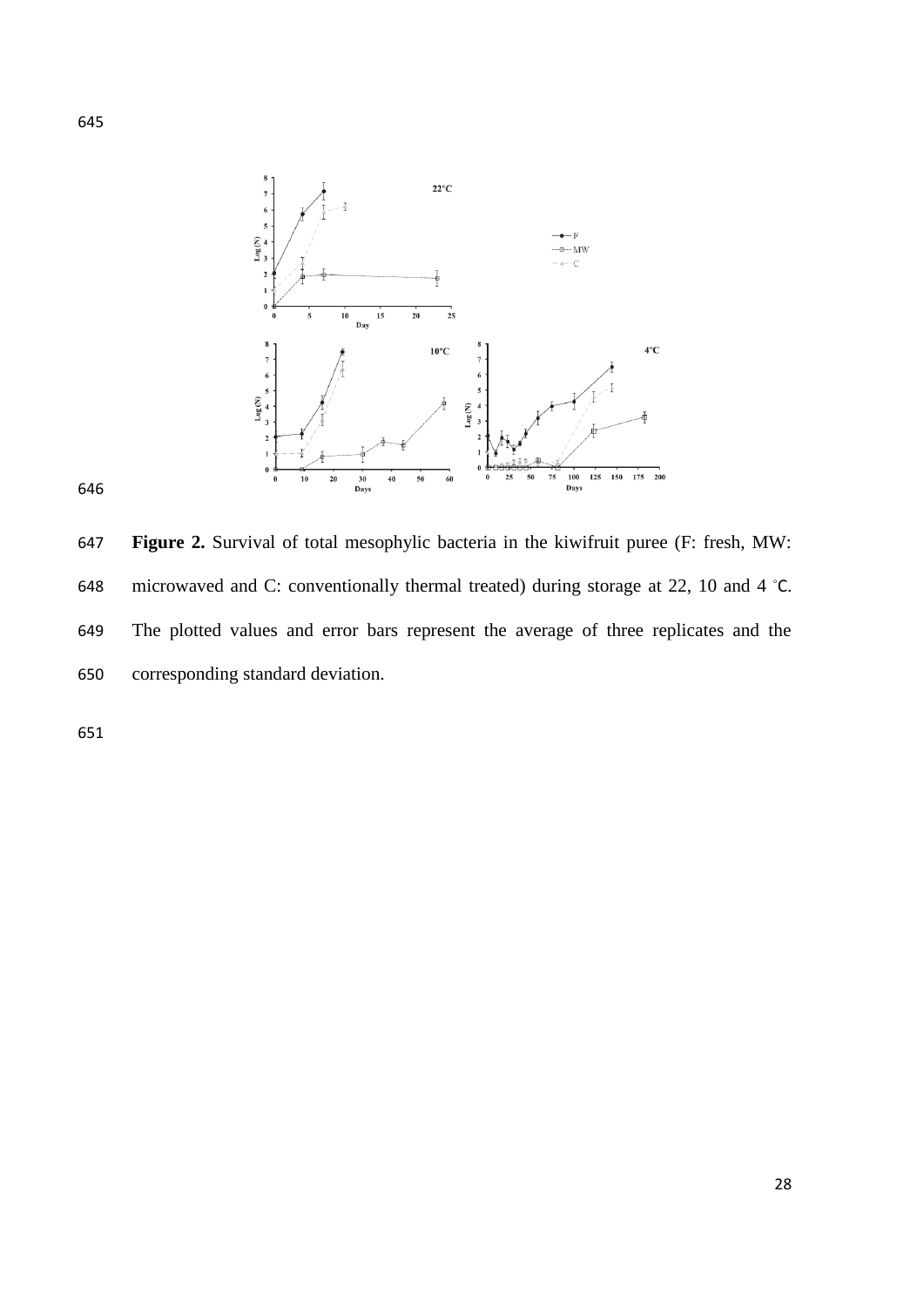

 **Figure 2.** Survival of total mesophylic bacteria in the kiwifruit puree (F: fresh, MW: 648 microwaved and C: conventionally thermal treated) during storage at 22, 10 and 4  $°C$ . The plotted values and error bars represent the average of three replicates and the corresponding standard deviation.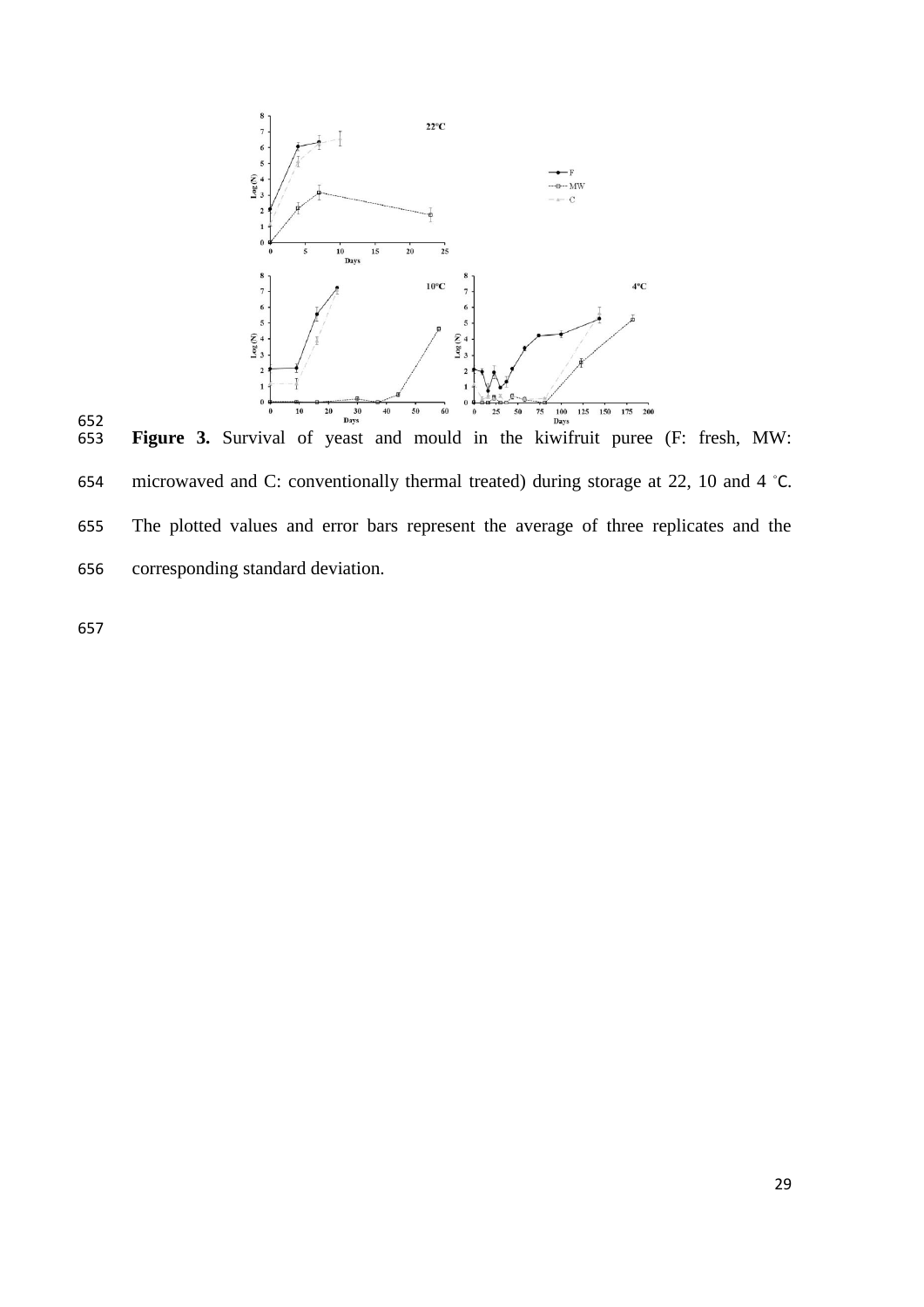

652<br>653 654 microwaved and C: conventionally thermal treated) during storage at 22, 10 and 4  $°C$ . The plotted values and error bars represent the average of three replicates and the corresponding standard deviation.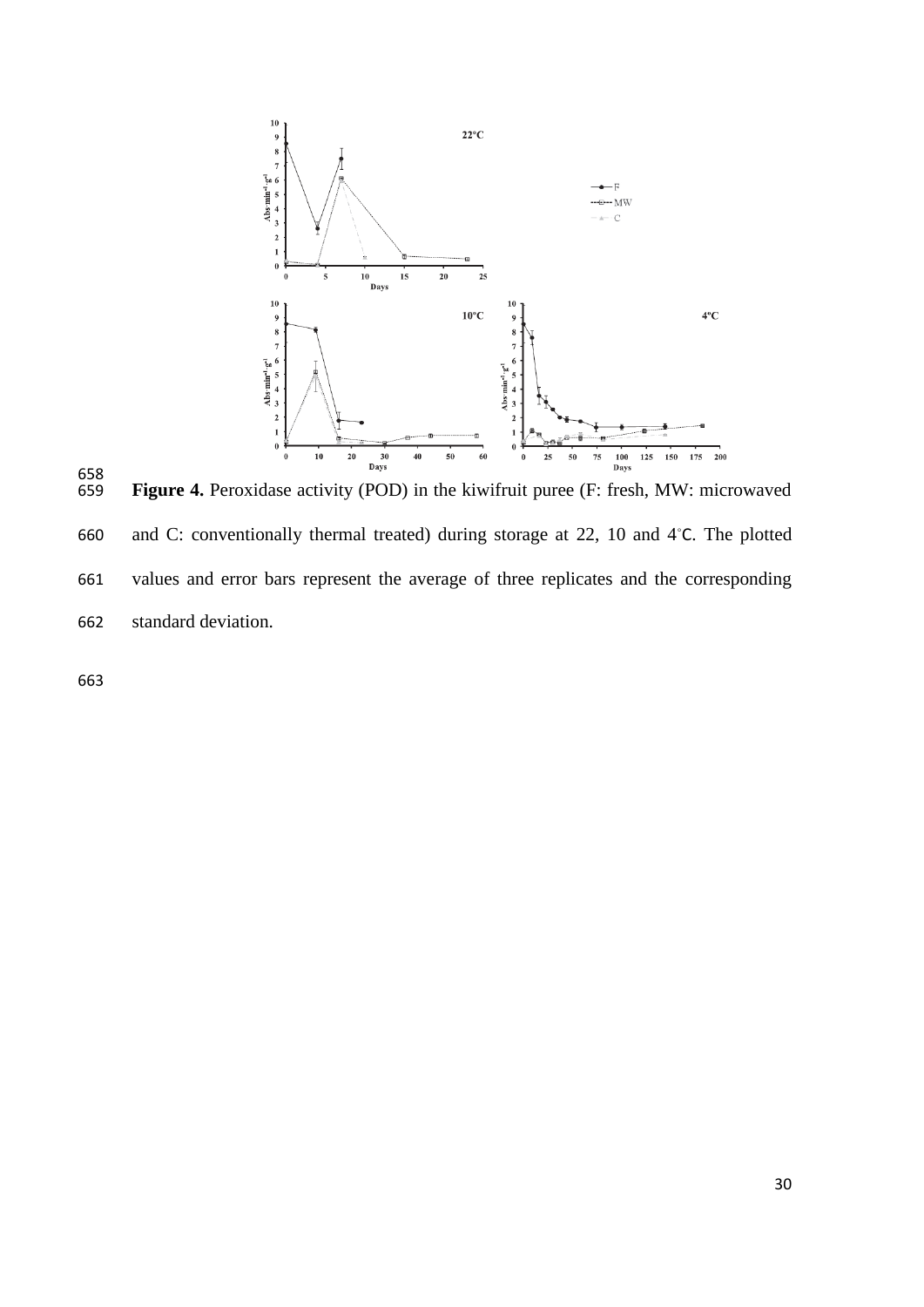

658<br>659 Figure 4. Peroxidase activity (POD) in the kiwifruit puree (F: fresh, MW: microwaved 660 and C: conventionally thermal treated) during storage at 22, 10 and  $4°C. The plotted$ 661 values and error bars represent the average of three replicates and the corresponding 662 standard deviation.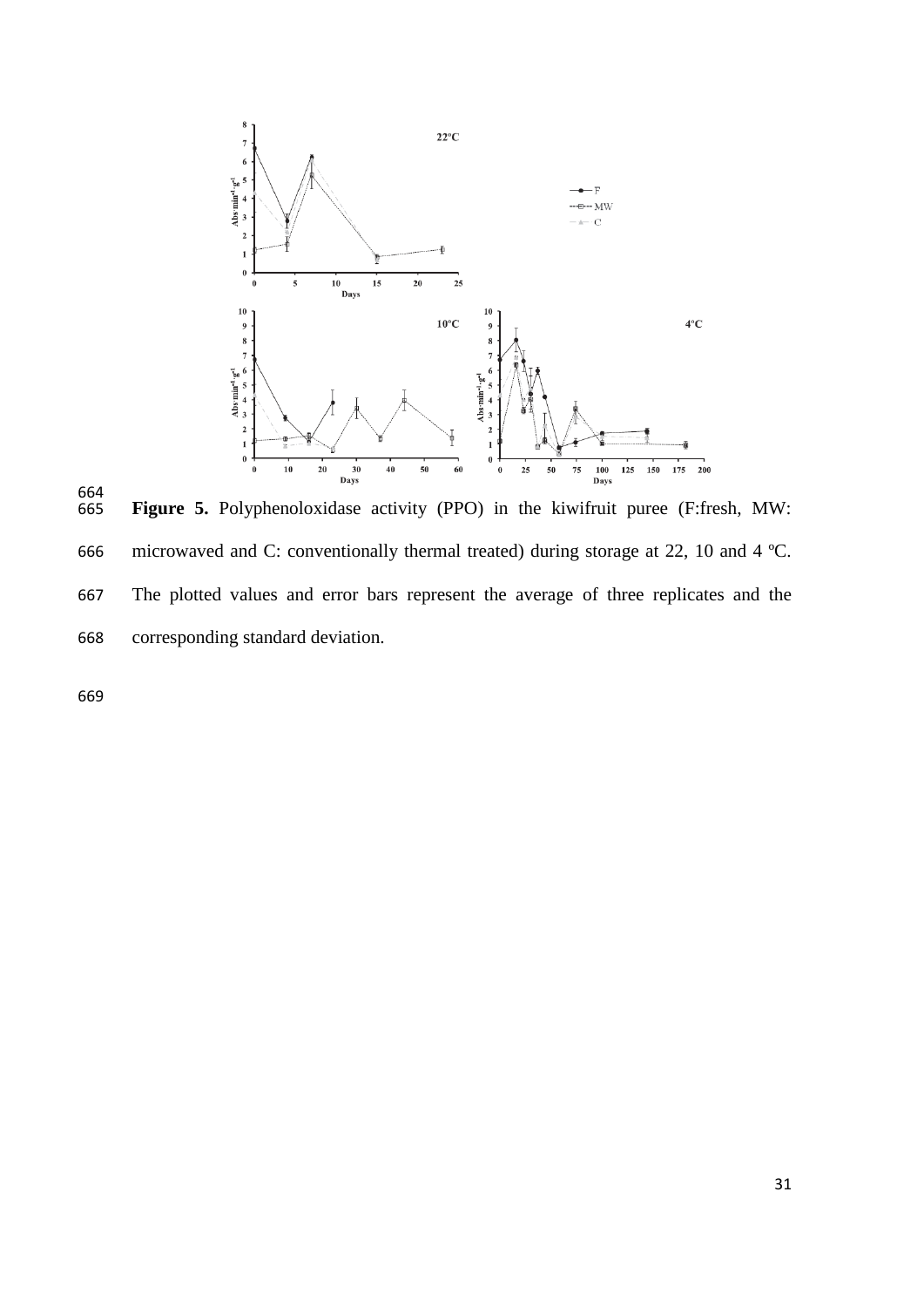

664<br>665 Figure 5. Polyphenoloxidase activity (PPO) in the kiwifruit puree (F:fresh, MW: microwaved and C: conventionally thermal treated) during storage at 22, 10 and 4 ºC. The plotted values and error bars represent the average of three replicates and the corresponding standard deviation.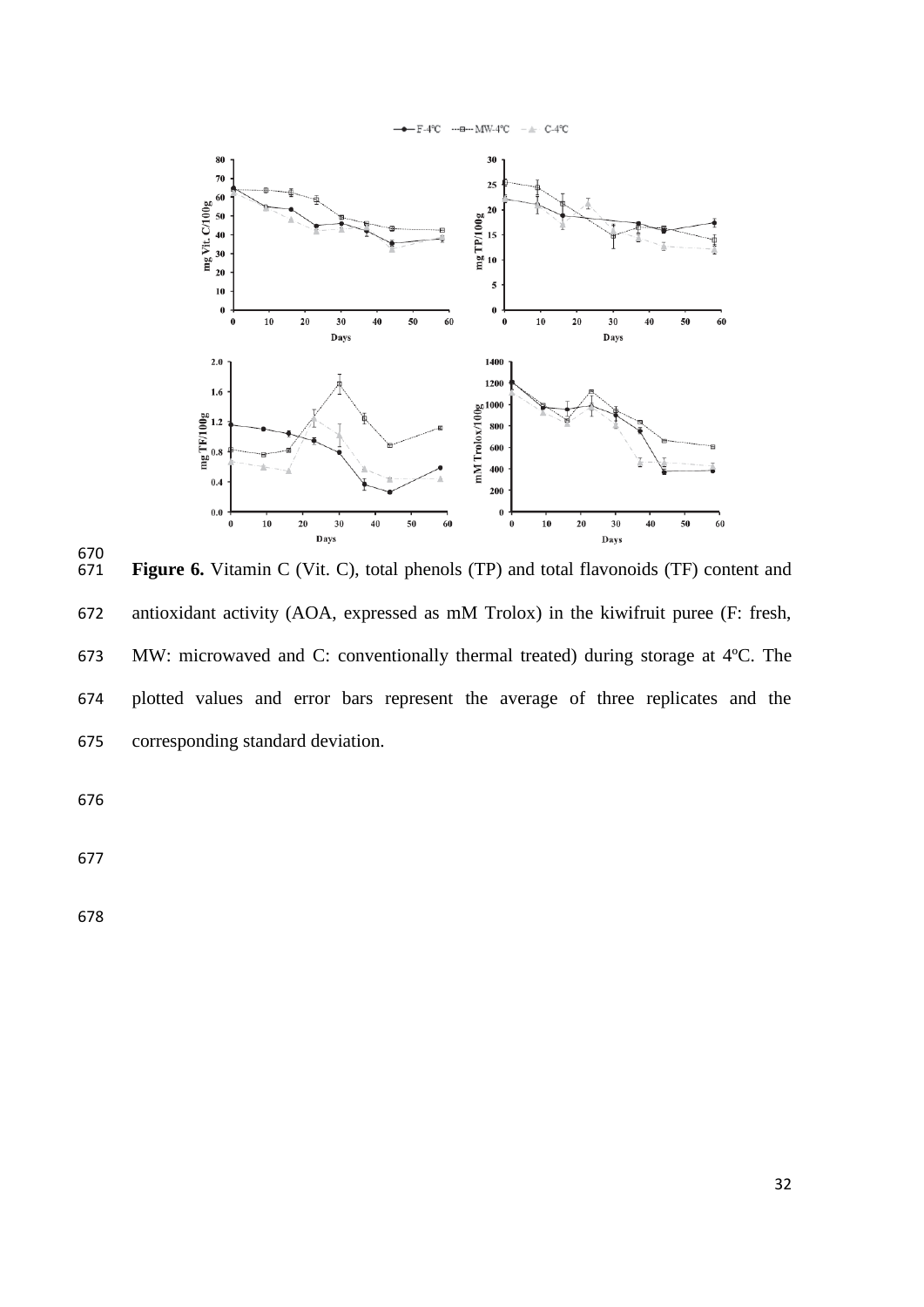

 Figure 6. Vitamin C (Vit. C), total phenols (TP) and total flavonoids (TF) content and antioxidant activity (AOA, expressed as mM Trolox) in the kiwifruit puree (F: fresh, MW: microwaved and C: conventionally thermal treated) during storage at 4ºC. The plotted values and error bars represent the average of three replicates and the corresponding standard deviation.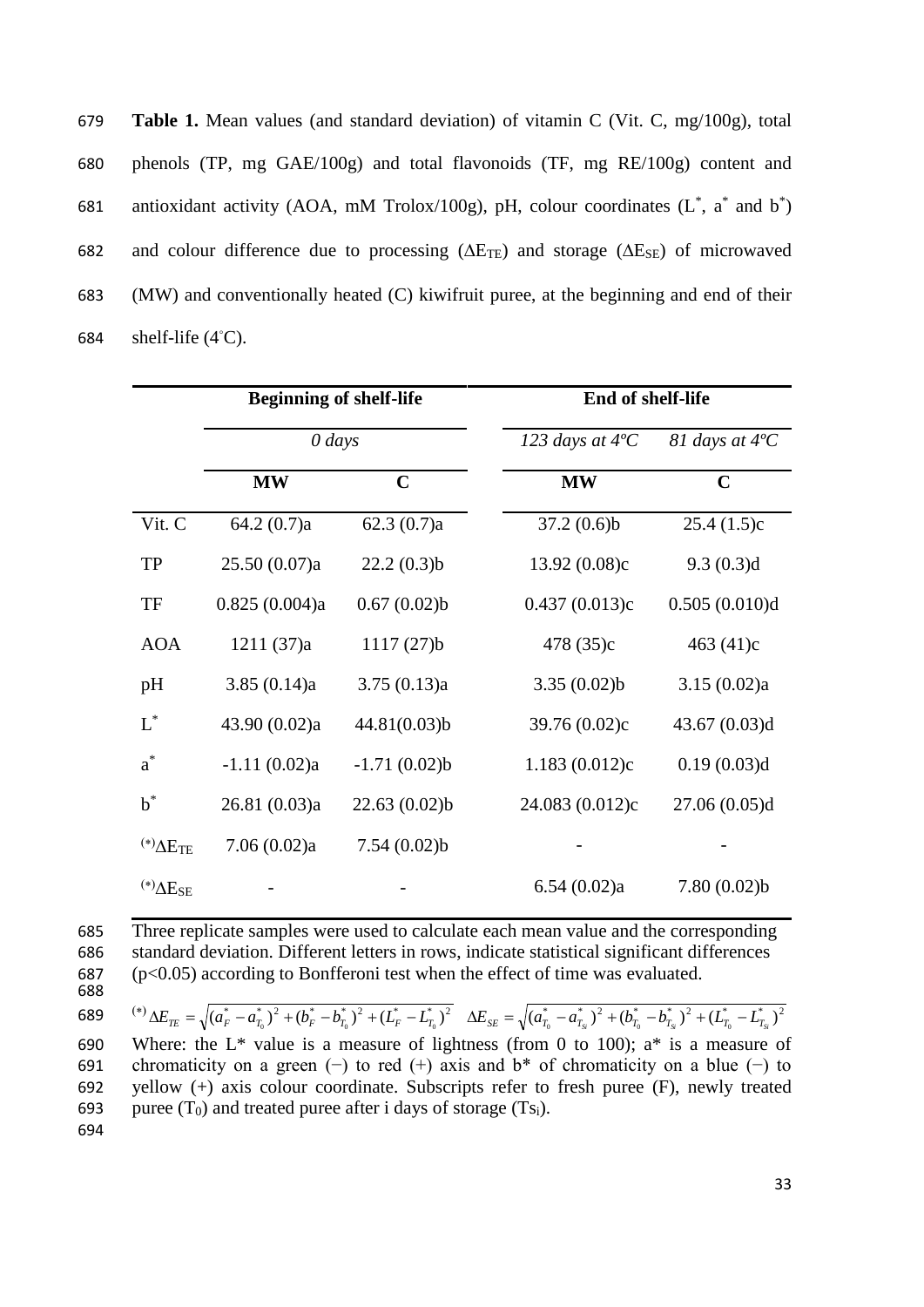| 679 | <b>Table 1.</b> Mean values (and standard deviation) of vitamin C (Vit. C, mg/100g), total                |
|-----|-----------------------------------------------------------------------------------------------------------|
| 680 | phenols (TP, mg $GAE/100g$ ) and total flavonoids (TF, mg $RE/100g$ ) content and                         |
| 681 | antioxidant activity (AOA, mM Trolox/100g), pH, colour coordinates $(L^*, a^*$ and $b^*)$                 |
| 682 | and colour difference due to processing ( $\Delta E_{TE}$ ) and storage ( $\Delta E_{SE}$ ) of microwaved |
| 683 | (MW) and conventionally heated (C) kiwifruit puree, at the beginning and end of their                     |
| 684 | shelf-life $(4^{\circ}C)$ .                                                                               |

|                       | <b>Beginning of shelf-life</b> |                | End of shelf-life        |                         |  |  |  |
|-----------------------|--------------------------------|----------------|--------------------------|-------------------------|--|--|--|
|                       | $0$ days                       |                | 123 days at $4^{\circ}C$ | 81 days at $4^{\circ}C$ |  |  |  |
|                       | <b>MW</b>                      | $\mathbf C$    | <b>MW</b>                | $\mathbf C$             |  |  |  |
| Vit. C                | 64.2(0.7)a                     | 62.3(0.7)a     | 37.2(0.6)b               | 25.4(1.5)c              |  |  |  |
| <b>TP</b>             | 25.50(0.07)a                   | 22.2(0.3)b     | 13.92(0.08)c             | 9.3(0.3)d               |  |  |  |
| TF                    | 0.825(0.004)a                  | 0.67(0.02)b    | 0.437(0.013)c            | 0.505(0.010)d           |  |  |  |
| <b>AOA</b>            | 1211(37)a                      | 1117(27)b      | 478 (35)c                | 463 (41)c               |  |  |  |
| pH                    | 3.85(0.14)a                    | 3.75(0.13)a    | 3.35(0.02)b              | 3.15(0.02)a             |  |  |  |
| $L^*$                 | 43.90 (0.02)a                  | 44.81(0.03)b   | 39.76 (0.02)c            | 43.67 $(0.03)d$         |  |  |  |
| $a^*$                 | $-1.11(0.02)a$                 | $-1.71(0.02)b$ | 1.183(0.012)c            | 0.19(0.03)d             |  |  |  |
| $b^*$                 | 26.81 (0.03)a                  | 22.63(0.02)b   | 24.083 (0.012)c          | 27.06(0.05)d            |  |  |  |
| $(*)\Delta E_{TE}$    | 7.06(0.02)a                    | 7.54(0.02)b    |                          |                         |  |  |  |
| $^{(*)}\Delta E_{SE}$ |                                |                | 6.54(0.02)a              | 7.80(0.02)b             |  |  |  |

 Three replicate samples were used to calculate each mean value and the corresponding standard deviation. Different letters in rows, indicate statistical significant differences (p<0.05) according to Bonfferoni test when the effect of time was evaluated. 688

 $^{(*)}\Delta E_{TE} = \sqrt{(a_F^* - a_{T_0}^*)^2 + (b_F^* - b_{T_0}^*)^2 + (L_F^* - L_{T_0}^*)^2}$  $\Delta E_{SE} = \sqrt{(a_{T_0}^* - a_{T_{S\!^*}^*)^2 + (b_{T_0}^* - b_{T_{S\!^*}^*)^2 + (L_{T_0}^* - L_{T_{S\!^*}^*)^2}$ 689 690 Where: the  $L^*$  value is a measure of lightness (from 0 to 100);  $a^*$  is a measure of 691 chromaticity on a green (−) to red (+) axis and b\* of chromaticity on a blue (−) to 692 yellow (+) axis colour coordinate. Subscripts refer to fresh puree (F), newly treated 693 puree  $(T_0)$  and treated puree after i days of storage  $(Ts_i)$ . 694